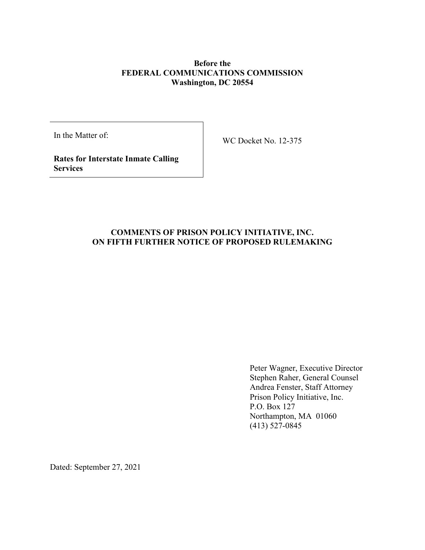#### **Before the FEDERAL COMMUNICATIONS COMMISSION Washington, DC 20554**

In the Matter of:

WC Docket No. 12-375

**Rates for Interstate Inmate Calling Services**

# **COMMENTS OF PRISON POLICY INITIATIVE, INC. ON FIFTH FURTHER NOTICE OF PROPOSED RULEMAKING**

Peter Wagner, Executive Director Stephen Raher, General Counsel Andrea Fenster, Staff Attorney Prison Policy Initiative, Inc. P.O. Box 127 Northampton, MA 01060 (413) 527-0845

Dated: September 27, 2021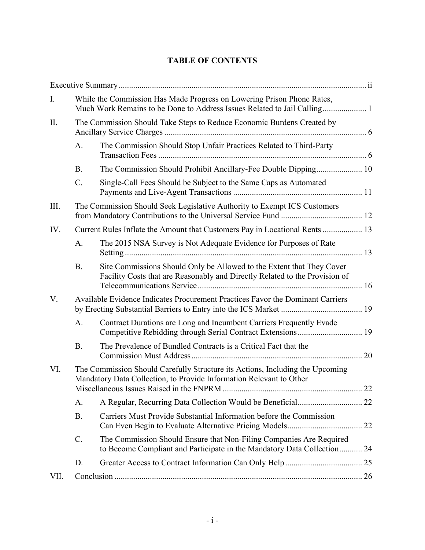# **TABLE OF CONTENTS**

| Ι.   |           | While the Commission Has Made Progress on Lowering Prison Phone Rates,                                                                               |
|------|-----------|------------------------------------------------------------------------------------------------------------------------------------------------------|
| II.  |           | The Commission Should Take Steps to Reduce Economic Burdens Created by                                                                               |
|      | A.        | The Commission Should Stop Unfair Practices Related to Third-Party                                                                                   |
|      | <b>B.</b> |                                                                                                                                                      |
|      | C.        | Single-Call Fees Should be Subject to the Same Caps as Automated                                                                                     |
| III. |           | The Commission Should Seek Legislative Authority to Exempt ICS Customers                                                                             |
| IV.  |           | Current Rules Inflate the Amount that Customers Pay in Locational Rents  13                                                                          |
|      | A.        | The 2015 NSA Survey is Not Adequate Evidence for Purposes of Rate                                                                                    |
|      | <b>B.</b> | Site Commissions Should Only be Allowed to the Extent that They Cover<br>Facility Costs that are Reasonably and Directly Related to the Provision of |
| V.   |           | Available Evidence Indicates Procurement Practices Favor the Dominant Carriers                                                                       |
|      | A.        | Contract Durations are Long and Incumbent Carriers Frequently Evade<br>Competitive Rebidding through Serial Contract Extensions 19                   |
|      | <b>B.</b> | The Prevalence of Bundled Contracts is a Critical Fact that the                                                                                      |
| VI.  |           | The Commission Should Carefully Structure its Actions, Including the Upcoming<br>Mandatory Data Collection, to Provide Information Relevant to Other |
|      | А.        |                                                                                                                                                      |
|      | <b>B.</b> | Carriers Must Provide Substantial Information before the Commission                                                                                  |
|      | C.        | The Commission Should Ensure that Non-Filing Companies Are Required<br>to Become Compliant and Participate in the Mandatory Data Collection 24       |
|      | D.        |                                                                                                                                                      |
| VII. |           |                                                                                                                                                      |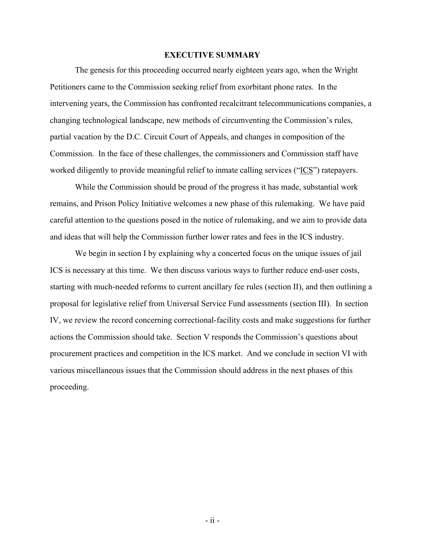#### **EXECUTIVE SUMMARY**

<span id="page-2-0"></span>The genesis for this proceeding occurred nearly eighteen years ago, when the Wright Petitioners came to the Commission seeking relief from exorbitant phone rates. In the intervening years, the Commission has confronted recalcitrant telecommunications companies, a changing technological landscape, new methods of circumventing the Commission's rules, partial vacation by the D.C. Circuit Court of Appeals, and changes in composition of the Commission. In the face of these challenges, the commissioners and Commission staff have worked diligently to provide meaningful relief to inmate calling services ("ICS") ratepayers.

While the Commission should be proud of the progress it has made, substantial work remains, and Prison Policy Initiative welcomes a new phase of this rulemaking. We have paid careful attention to the questions posed in the notice of rulemaking, and we aim to provide data and ideas that will help the Commission further lower rates and fees in the ICS industry.

We begin in section I by explaining why a concerted focus on the unique issues of jail ICS is necessary at this time. We then discuss various ways to further reduce end-user costs, starting with much-needed reforms to current ancillary fee rules (section II), and then outlining a proposal for legislative relief from Universal Service Fund assessments (section III). In section IV, we review the record concerning correctional-facility costs and make suggestions for further actions the Commission should take. Section V responds the Commission's questions about procurement practices and competition in the ICS market. And we conclude in section VI with various miscellaneous issues that the Commission should address in the next phases of this proceeding.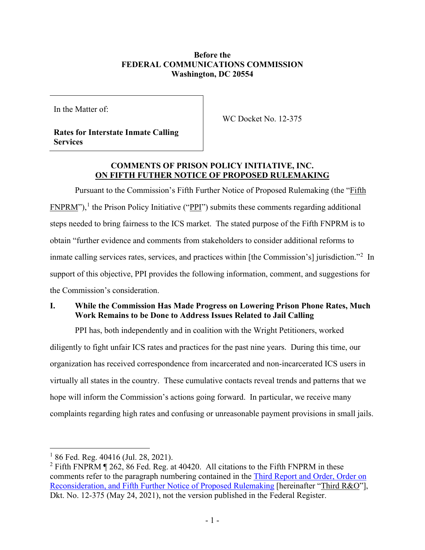### **Before the FEDERAL COMMUNICATIONS COMMISSION Washington, DC 20554**

In the Matter of:

WC Docket No. 12-375

**Rates for Interstate Inmate Calling Services**

# **COMMENTS OF PRISON POLICY INITIATIVE, INC. ON FIFTH FUTHER NOTICE OF PROPOSED RULEMAKING**

Pursuant to the Commission's Fifth Further Notice of Proposed Rulemaking (the "Fifth  $FNPRM$ "),<sup>[1](#page-3-1)</sup> the Prison Policy Initiative (" $PPI$ ") submits these comments regarding additional steps needed to bring fairness to the ICS market. The stated purpose of the Fifth FNPRM is to obtain "further evidence and comments from stakeholders to consider additional reforms to inmate calling services rates, services, and practices within [the Commission's] jurisdiction."<sup>[2](#page-3-2)</sup> In support of this objective, PPI provides the following information, comment, and suggestions for the Commission's consideration.

# <span id="page-3-0"></span>**I. While the Commission Has Made Progress on Lowering Prison Phone Rates, Much Work Remains to be Done to Address Issues Related to Jail Calling**

PPI has, both independently and in coalition with the Wright Petitioners, worked diligently to fight unfair ICS rates and practices for the past nine years. During this time, our organization has received correspondence from incarcerated and non-incarcerated ICS users in virtually all states in the country. These cumulative contacts reveal trends and patterns that we hope will inform the Commission's actions going forward. In particular, we receive many complaints regarding high rates and confusing or unreasonable payment provisions in small jails.

<span id="page-3-1"></span> $186$  Fed. Reg. 40416 (Jul. 28, 2021).

<span id="page-3-2"></span> $2$  Fifth FNPRM  $\parallel$  262, 86 Fed. Reg. at 40420. All citations to the Fifth FNPRM in these comments refer to the paragraph numbering contained in the [Third Report and Order, Order on](https://ecfsapi.fcc.gov/file/0524685718516/FCC-21-60A1.pdf)  [Reconsideration, and Fifth Further Notice of Proposed Rulemaking](https://ecfsapi.fcc.gov/file/0524685718516/FCC-21-60A1.pdf) [hereinafter "Third R&O"], Dkt. No. 12-375 (May 24, 2021), not the version published in the Federal Register.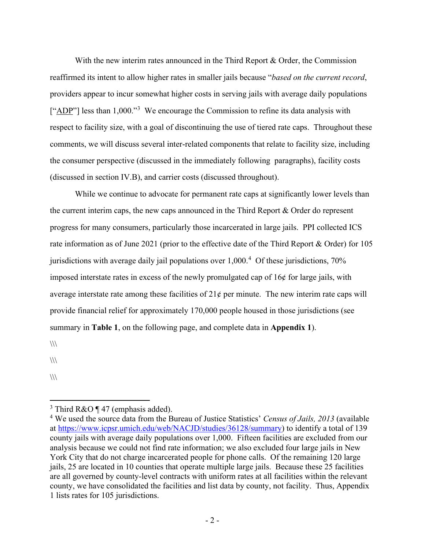With the new interim rates announced in the Third Report & Order, the Commission reaffirmed its intent to allow higher rates in smaller jails because "*based on the current record*, providers appear to incur somewhat higher costs in serving jails with average daily populations  $[$ "ADP"] less than 1,000."<sup>[3](#page-4-0)</sup> We encourage the Commission to refine its data analysis with respect to facility size, with a goal of discontinuing the use of tiered rate caps. Throughout these comments, we will discuss several inter-related components that relate to facility size, including the consumer perspective (discussed in the immediately following paragraphs), facility costs (discussed in section [IV.B\)](#page-18-0), and carrier costs (discussed throughout).

While we continue to advocate for permanent rate caps at significantly lower levels than the current interim caps, the new caps announced in the Third Report & Order do represent progress for many consumers, particularly those incarcerated in large jails. PPI collected ICS rate information as of June 2021 (prior to the effective date of the Third Report & Order) for 105 jurisdictions with average daily jail populations over 1,000.<sup>[4](#page-4-1)</sup> Of these jurisdictions, 70% imposed interstate rates in excess of the newly promulgated cap of 16¢ for large jails, with average interstate rate among these facilities of  $21¢$  per minute. The new interim rate caps will provide financial relief for approximately 170,000 people housed in those jurisdictions (see summary in **Table 1**, on the following page, and complete data in **Appendix 1**).

 $\frac{1}{2}$ 

 $\langle\langle\langle\rangle\rangle\rangle$ 

 $\frac{1}{2}$ 

<span id="page-4-0"></span><sup>&</sup>lt;sup>3</sup> Third R&O  $\P$  47 (emphasis added).

<span id="page-4-1"></span><sup>4</sup> We used the source data from the Bureau of Justice Statistics' *Census of Jails, 2013* (available at [https://www.icpsr.umich.edu/web/NACJD/studies/36128/summary\)](https://www.icpsr.umich.edu/web/NACJD/studies/36128/summary) to identify a total of 139 county jails with average daily populations over 1,000. Fifteen facilities are excluded from our analysis because we could not find rate information; we also excluded four large jails in New York City that do not charge incarcerated people for phone calls. Of the remaining 120 large jails, 25 are located in 10 counties that operate multiple large jails. Because these 25 facilities are all governed by county-level contracts with uniform rates at all facilities within the relevant county, we have consolidated the facilities and list data by county, not facility. Thus, Appendix 1 lists rates for 105 jurisdictions.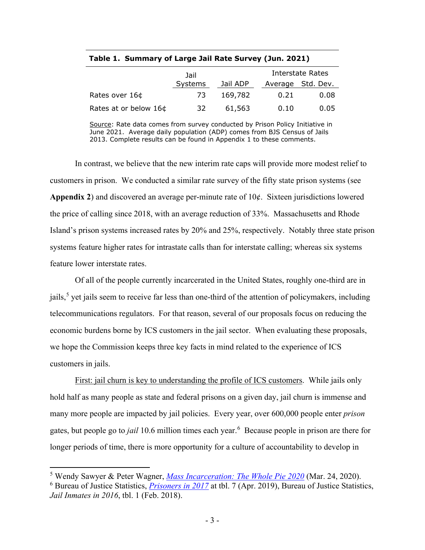|                       | Jail    |          |      | Interstate Rates  |
|-----------------------|---------|----------|------|-------------------|
|                       | Systems | Jail ADP |      | Average Std. Dev. |
| Rates over 16¢        | 73      | 169,782  | 0.21 | 0.08              |
| Rates at or below 16¢ | 32      | 61,563   | 0.10 | 0.05              |

**Table 1. Summary of Large Jail Rate Survey (Jun. 2021)**

Source: Rate data comes from survey conducted by Prison Policy Initiative in June 2021. Average daily population (ADP) comes from BJS Census of Jails 2013. Complete results can be found in Appendix 1 to these comments.

In contrast, we believe that the new interim rate caps will provide more modest relief to customers in prison. We conducted a similar rate survey of the fifty state prison systems (see **Appendix 2**) and discovered an average per-minute rate of 10¢. Sixteen jurisdictions lowered the price of calling since 2018, with an average reduction of 33%. Massachusetts and Rhode Island's prison systems increased rates by 20% and 25%, respectively. Notably three state prison systems feature higher rates for intrastate calls than for interstate calling; whereas six systems feature lower interstate rates.

Of all of the people currently incarcerated in the United States, roughly one-third are in jails,<sup>[5](#page-5-0)</sup> yet jails seem to receive far less than one-third of the attention of policymakers, including telecommunications regulators. For that reason, several of our proposals focus on reducing the economic burdens borne by ICS customers in the jail sector. When evaluating these proposals, we hope the Commission keeps three key facts in mind related to the experience of ICS customers in jails.

First: jail churn is key to understanding the profile of ICS customers. While jails only hold half as many people as state and federal prisons on a given day, jail churn is immense and many more people are impacted by jail policies. Every year, over 600,000 people enter *prison* gates, but people go to *jail* 10.6 million times each year.[6](#page-5-1) Because people in prison are there for longer periods of time, there is more opportunity for a culture of accountability to develop in

<span id="page-5-1"></span><span id="page-5-0"></span><sup>5</sup> Wendy Sawyer & Peter Wagner, *[Mass Incarceration: The Whole Pie 2020](https://www.prisonpolicy.org/reports/pie2020.html)* (Mar. 24, 2020). <sup>6</sup> Bureau of Justice Statistics, *[Prisoners in 2017](https://bjs.ojp.gov/content/pub/pdf/p17.pdf)* at tbl. 7 (Apr. 2019), Bureau of Justice Statistics, *Jail Inmates in 2016*, tbl. 1 (Feb. 2018).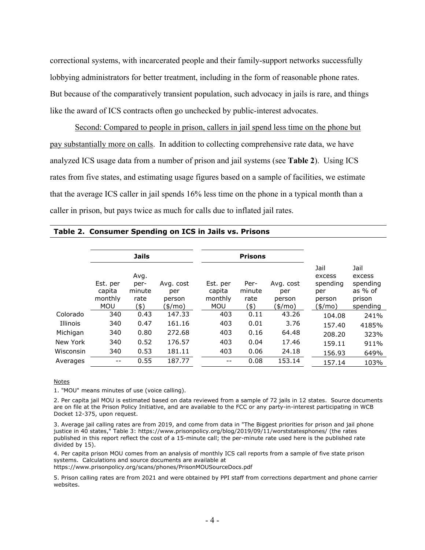correctional systems, with incarcerated people and their family-support networks successfully lobbying administrators for better treatment, including in the form of reasonable phone rates. But because of the comparatively transient population, such advocacy in jails is rare, and things like the award of ICS contracts often go unchecked by public-interest advocates.

Second: Compared to people in prison, callers in jail spend less time on the phone but pay substantially more on calls. In addition to collecting comprehensive rate data, we have analyzed ICS usage data from a number of prison and jail systems (see **Table 2**). Using ICS rates from five states, and estimating usage figures based on a sample of facilities, we estimate that the average ICS caller in jail spends 16% less time on the phone in a typical month than a caller in prison, but pays twice as much for calls due to inflated jail rates.

|           |                                             | <b>Jails</b>                           |                                       |                                             | <b>Prisons</b>                 |                                       |                                                        |                                                               |
|-----------|---------------------------------------------|----------------------------------------|---------------------------------------|---------------------------------------------|--------------------------------|---------------------------------------|--------------------------------------------------------|---------------------------------------------------------------|
|           | Est. per<br>capita<br>monthly<br><b>MOU</b> | Avg.<br>per-<br>minute<br>rate<br>(\$) | Avg. cost<br>per<br>person<br>(\$/mo) | Est. per<br>capita<br>monthly<br><b>MOU</b> | Per-<br>minute<br>rate<br>(\$) | Avg. cost<br>per<br>person<br>(\$/mo) | Jail<br>excess<br>spending<br>per<br>person<br>(\$/mo) | Jail<br>excess<br>spending<br>as $%$ of<br>prison<br>spending |
| Colorado  | 340                                         | 0.43                                   | 147.33                                | 403                                         | 0.11                           | 43.26                                 | 104.08                                                 | 241%                                                          |
| Illinois  | 340                                         | 0.47                                   | 161.16                                | 403                                         | 0.01                           | 3.76                                  | 157.40                                                 | 4185%                                                         |
| Michigan  | 340                                         | 0.80                                   | 272.68                                | 403                                         | 0.16                           | 64.48                                 | 208.20                                                 | 323%                                                          |
| New York  | 340                                         | 0.52                                   | 176.57                                | 403                                         | 0.04                           | 17.46                                 | 159.11                                                 | 911%                                                          |
| Wisconsin | 340                                         | 0.53                                   | 181.11                                | 403                                         | 0.06                           | 24.18                                 | 156.93                                                 | 649%                                                          |
| Averages  | $\qquad \qquad -$                           | 0.55                                   | 187.77                                | --                                          | 0.08                           | 153.14                                | 157.14                                                 | 103%                                                          |

#### **Table 2. Consumer Spending on ICS in Jails vs. Prisons**

**Notes** 

1. "MOU" means minutes of use (voice calling).

2. Per capita jail MOU is estimated based on data reviewed from a sample of 72 jails in 12 states. Source documents are on file at the Prison Policy Initiative, and are available to the FCC or any party-in-interest participating in WCB Docket 12-375, upon request.

3. Average jail calling rates are from 2019, and come from data in "The Biggest priorities for prison and jail phone justice in 40 states," Table 3: https://www.prisonpolicy.org/blog/2019/09/11/worststatesphones/ (the rates published in this report reflect the cost of a 15-minute call; the per-minute rate used here is the published rate divided by 15).

4. Per capita prison MOU comes from an analysis of monthly ICS call reports from a sample of five state prison systems. Calculations and source documents are available at https://www.prisonpolicy.org/scans/phones/PrisonMOUSourceDocs.pdf

5. Prison calling rates are from 2021 and were obtained by PPI staff from corrections department and phone carrier websites.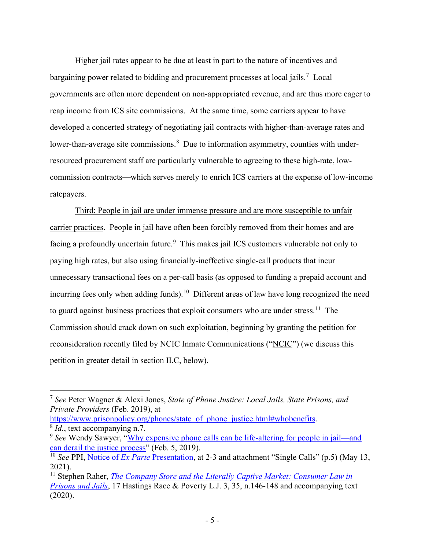<span id="page-7-5"></span>Higher jail rates appear to be due at least in part to the nature of incentives and bargaining power related to bidding and procurement processes at local jails.<sup>[7](#page-7-0)</sup> Local governments are often more dependent on non-appropriated revenue, and are thus more eager to reap income from ICS site commissions. At the same time, some carriers appear to have developed a concerted strategy of negotiating jail contracts with higher-than-average rates and lower-than-average site commissions.<sup>[8](#page-7-1)</sup> Due to information asymmetry, counties with underresourced procurement staff are particularly vulnerable to agreeing to these high-rate, lowcommission contracts—which serves merely to enrich ICS carriers at the expense of low-income ratepayers.

Third: People in jail are under immense pressure and are more susceptible to unfair carrier practices. People in jail have often been forcibly removed from their homes and are facing a profoundly uncertain future.<sup>[9](#page-7-2)</sup> This makes jail ICS customers vulnerable not only to paying high rates, but also using financially-ineffective single-call products that incur unnecessary transactional fees on a per-call basis (as opposed to funding a prepaid account and incurring fees only when adding funds).<sup>[10](#page-7-3)</sup> Different areas of law have long recognized the need to guard against business practices that exploit consumers who are under stress.<sup>[11](#page-7-4)</sup> The Commission should crack down on such exploitation, beginning by granting the petition for reconsideration recently filed by NCIC Inmate Communications ("NCIC") (we discuss this petition in greater detail in section [II.C,](#page-13-0) below).

<span id="page-7-1"></span>[https://www.prisonpolicy.org/phones/state\\_of\\_phone\\_justice.html#whobenefits.](https://www.prisonpolicy.org/phones/state_of_phone_justice.html#whobenefits) <sup>8</sup> *Id.*, text accompanying n.7.

<span id="page-7-0"></span><sup>7</sup> *See* Peter Wagner & Alexi Jones, *State of Phone Justice: Local Jails, State Prisons, and Private Providers* (Feb. 2019), at

<span id="page-7-2"></span><sup>9</sup> *See* Wendy Sawyer, ["Why expensive phone calls can be life-altering for people in jail—and](https://www.prisonpolicy.org/blog/2019/02/05/jail-phone-calls/)  [can derail the justice process"](https://www.prisonpolicy.org/blog/2019/02/05/jail-phone-calls/) (Feb. 5, 2019).

<span id="page-7-3"></span><sup>10</sup> *See* PPI, Notice of *Ex Parte* [Presentation,](https://ecfsapi.fcc.gov/file/1051360326349/2021-05-13%20-%20Ex%20parte%20draft%20Report%20and%20Order.pdf) at 2-3 and attachment "Single Calls" (p.5) (May 13, 2021).

<span id="page-7-4"></span><sup>&</sup>lt;sup>11</sup> Stephen Raher, *The Company Store and the Literally Captive Market: Consumer Law in [Prisons and Jails](https://repository.uchastings.edu/cgi/viewcontent.cgi?article=1143&context=hastings_race_poverty_law_journal)*, 17 Hastings Race & Poverty L.J. 3, 35, n.146-148 and accompanying text (2020).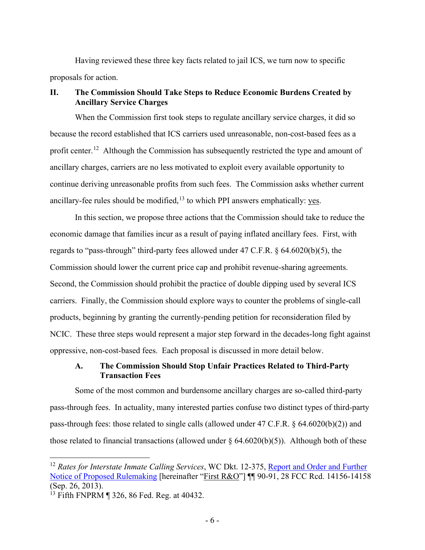Having reviewed these three key facts related to jail ICS, we turn now to specific proposals for action.

#### <span id="page-8-0"></span>**II. The Commission Should Take Steps to Reduce Economic Burdens Created by Ancillary Service Charges**

When the Commission first took steps to regulate ancillary service charges, it did so because the record established that ICS carriers used unreasonable, non-cost-based fees as a profit center.<sup>12</sup> Although the Commission has subsequently restricted the type and amount of ancillary charges, carriers are no less motivated to exploit every available opportunity to continue deriving unreasonable profits from such fees. The Commission asks whether current ancillary-fee rules should be modified,  $13$  to which PPI answers emphatically: yes.

In this section, we propose three actions that the Commission should take to reduce the economic damage that families incur as a result of paying inflated ancillary fees. First, with regards to "pass-through" third-party fees allowed under 47 C.F.R. § 64.6020(b)(5), the Commission should lower the current price cap and prohibit revenue-sharing agreements. Second, the Commission should prohibit the practice of double dipping used by several ICS carriers. Finally, the Commission should explore ways to counter the problems of single-call products, beginning by granting the currently-pending petition for reconsideration filed by NCIC. These three steps would represent a major step forward in the decades-long fight against oppressive, non-cost-based fees. Each proposal is discussed in more detail below.

#### <span id="page-8-1"></span>**A. The Commission Should Stop Unfair Practices Related to Third-Party Transaction Fees**

Some of the most common and burdensome ancillary charges are so-called third-party pass-through fees. In actuality, many interested parties confuse two distinct types of third-party pass-through fees: those related to single calls (allowed under 47 C.F.R. § 64.6020(b)(2)) and those related to financial transactions (allowed under  $\S$  64.6020(b)(5)). Although both of these

<span id="page-8-2"></span><sup>12</sup> *Rates for Interstate Inmate Calling Services*, WC Dkt. 12-375, [Report and Order and Further](https://ecfsapi.fcc.gov/file/7520945713.pdf)  [Notice of Proposed Rulemaking](https://ecfsapi.fcc.gov/file/7520945713.pdf) [hereinafter "First R&O"] ¶¶ 90-91, 28 FCC Rcd. 14156-14158 (Sep. 26, 2013).

<span id="page-8-3"></span><sup>&</sup>lt;sup>13</sup> Fifth FNPRM ¶ 326, 86 Fed. Reg. at 40432.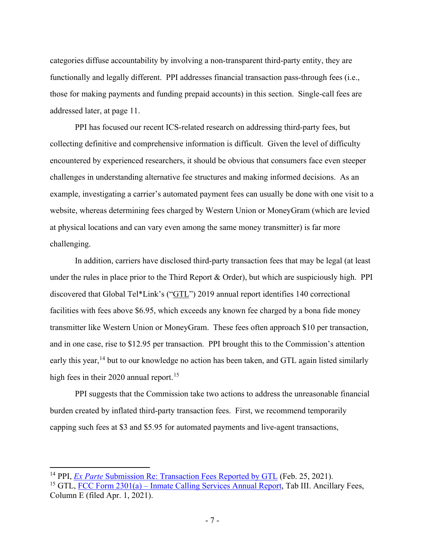categories diffuse accountability by involving a non-transparent third-party entity, they are functionally and legally different. PPI addresses financial transaction pass-through fees (i.e., those for making payments and funding prepaid accounts) in this section. Single-call fees are addressed later, at page [11.](#page-13-0)

PPI has focused our recent ICS-related research on addressing third-party fees, but collecting definitive and comprehensive information is difficult. Given the level of difficulty encountered by experienced researchers, it should be obvious that consumers face even steeper challenges in understanding alternative fee structures and making informed decisions. As an example, investigating a carrier's automated payment fees can usually be done with one visit to a website, whereas determining fees charged by Western Union or MoneyGram (which are levied at physical locations and can vary even among the same money transmitter) is far more challenging.

In addition, carriers have disclosed third-party transaction fees that may be legal (at least under the rules in place prior to the Third Report & Order), but which are suspiciously high. PPI discovered that Global Tel\*Link's ("GTL") 2019 annual report identifies 140 correctional facilities with fees above \$6.95, which exceeds any known fee charged by a bona fide money transmitter like Western Union or MoneyGram. These fees often approach \$10 per transaction, and in one case, rise to \$12.95 per transaction. PPI brought this to the Commission's attention early this year,<sup>[14](#page-9-0)</sup> but to our knowledge no action has been taken, and GTL again listed similarly high fees in their 2020 annual report.<sup>[15](#page-9-1)</sup>

PPI suggests that the Commission take two actions to address the unreasonable financial burden created by inflated third-party transaction fees. First, we recommend temporarily capping such fees at \$3 and \$5.95 for automated payments and live-agent transactions,

<span id="page-9-0"></span><sup>14</sup> PPI, *Ex Parte* [Submission Re: Transaction Fees Reported by GTL](https://ecfsapi.fcc.gov/file/10225233345757/Ex%20Parte%20Letter%20re%20GTL%20High%20Deposit%20Fees%20.pdf) (Feb. 25, 2021).

<span id="page-9-1"></span><sup>&</sup>lt;sup>15</sup> GTL, FCC Form  $2301(a)$  – [Inmate Calling Services Annual Report,](https://www.fcc.gov/ecfs/filing/10401206277492) Tab III. Ancillary Fees, Column E (filed Apr. 1, 2021).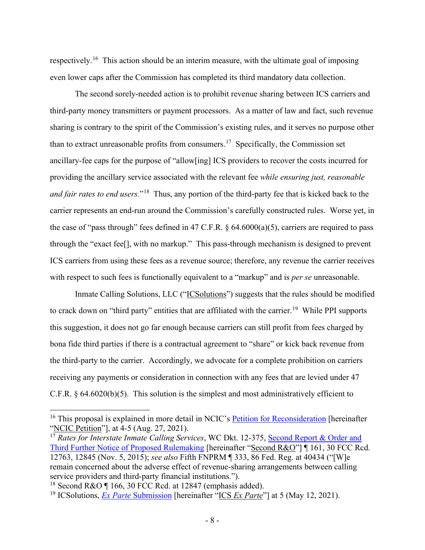respectively.<sup>16</sup> This action should be an interim measure, with the ultimate goal of imposing even lower caps after the Commission has completed its third mandatory data collection.

The second sorely-needed action is to prohibit revenue sharing between ICS carriers and third-party money transmitters or payment processors. As a matter of law and fact, such revenue sharing is contrary to the spirit of the Commission's existing rules, and it serves no purpose other than to extract unreasonable profits from consumers.<sup>[17](#page-10-1)</sup> Specifically, the Commission set ancillary-fee caps for the purpose of "allow[ing] ICS providers to recover the costs incurred for providing the ancillary service associated with the relevant fee *while ensuring just, reasonable and fair rates to end users.*"[18](#page-10-2) Thus, any portion of the third-party fee that is kicked back to the carrier represents an end-run around the Commission's carefully constructed rules. Worse yet, in the case of "pass through" fees defined in 47 C.F.R.  $\S$  64.6000(a)(5), carriers are required to pass through the "exact fee[], with no markup." This pass-through mechanism is designed to prevent ICS carriers from using these fees as a revenue source; therefore, any revenue the carrier receives with respect to such fees is functionally equivalent to a "markup" and is *per se* unreasonable.

Inmate Calling Solutions, LLC ("ICSolutions") suggests that the rules should be modified to crack down on "third party" entities that are affiliated with the carrier.<sup>[19](#page-10-3)</sup> While PPI supports this suggestion, it does not go far enough because carriers can still profit from fees charged by bona fide third parties if there is a contractual agreement to "share" or kick back revenue from the third-party to the carrier. Accordingly, we advocate for a complete prohibition on carriers receiving any payments or consideration in connection with any fees that are levied under 47 C.F.R. § 64.6020(b)(5). This solution is the simplest and most administratively efficient to

<span id="page-10-0"></span><sup>&</sup>lt;sup>16</sup> This proposal is explained in more detail in NCIC's [Petition for Reconsideration](https://ecfsapi.fcc.gov/file/1082733619116/Petition%20for%20Reconsideration.pdf) [hereinafter] "NCIC Petition"], at 4-5 (Aug. 27, 2021).

<span id="page-10-1"></span><sup>&</sup>lt;sup>17</sup> Rates for Interstate Inmate Calling Services, WC Dkt. 12-375, Second Report & Order and [Third Further Notice of Proposed Rulemaking](https://ecfsapi.fcc.gov/file/60001333338.pdf) [hereinafter "Second R&O"] ¶ 161, 30 FCC Rcd. 12763, 12845 (Nov. 5, 2015); *see also* Fifth FNPRM ¶ 333, 86 Fed. Reg. at 40434 ("[W]e remain concerned about the adverse effect of revenue-sharing arrangements between calling service providers and third-party financial institutions.").

<span id="page-10-2"></span><sup>&</sup>lt;sup>18</sup> Second R&O  $\P$  166, 30 FCC Rcd. at 12847 (emphasis added).

<span id="page-10-3"></span><sup>19</sup> ICSolutions, *Ex Parte* [Submission](https://ecfsapi.fcc.gov/file/1051395277574/ICSolutions) [hereinafter "ICS *Ex Parte*"] at 5 (May 12, 2021).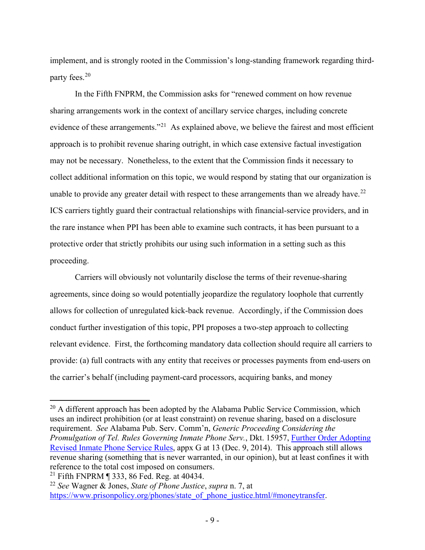implement, and is strongly rooted in the Commission's long-standing framework regarding thirdparty fees. [20](#page-11-0) 

In the Fifth FNPRM, the Commission asks for "renewed comment on how revenue sharing arrangements work in the context of ancillary service charges, including concrete evidence of these arrangements."<sup>21</sup> As explained above, we believe the fairest and most efficient approach is to prohibit revenue sharing outright, in which case extensive factual investigation may not be necessary. Nonetheless, to the extent that the Commission finds it necessary to collect additional information on this topic, we would respond by stating that our organization is unable to provide any greater detail with respect to these arrangements than we already have.<sup>[22](#page-11-2)</sup> ICS carriers tightly guard their contractual relationships with financial-service providers, and in the rare instance when PPI has been able to examine such contracts, it has been pursuant to a protective order that strictly prohibits our using such information in a setting such as this proceeding.

Carriers will obviously not voluntarily disclose the terms of their revenue-sharing agreements, since doing so would potentially jeopardize the regulatory loophole that currently allows for collection of unregulated kick-back revenue. Accordingly, if the Commission does conduct further investigation of this topic, PPI proposes a two-step approach to collecting relevant evidence. First, the forthcoming mandatory data collection should require all carriers to provide: (a) full contracts with any entity that receives or processes payments from end-users on the carrier's behalf (including payment-card processors, acquiring banks, and money

<span id="page-11-0"></span> $20$  A different approach has been adopted by the Alabama Public Service Commission, which uses an indirect prohibition (or at least constraint) on revenue sharing, based on a disclosure requirement. *See* Alabama Pub. Serv. Comm'n, *Generic Proceeding Considering the Promulgation of Tel. Rules Governing Inmate Phone Serv.*, Dkt. 15957, [Further Order Adopting](https://www.pscpublicaccess.alabama.gov/pscpublicaccess/PSC/PSCDocumentDetailsPage.aspx?DocumentId=0f6138bd-364d-4bb5-955b-8f3ffe4c28b2&Class=Order)  [Revised Inmate Phone Service Rules,](https://www.pscpublicaccess.alabama.gov/pscpublicaccess/PSC/PSCDocumentDetailsPage.aspx?DocumentId=0f6138bd-364d-4bb5-955b-8f3ffe4c28b2&Class=Order) appx G at 13 (Dec. 9, 2014). This approach still allows revenue sharing (something that is never warranted, in our opinion), but at least confines it with reference to the total cost imposed on consumers.

<span id="page-11-1"></span><sup>&</sup>lt;sup>21</sup> Fifth FNPRM  $\parallel$  333, 86 Fed. Reg. at 40434.

<span id="page-11-2"></span><sup>22</sup> *See* Wagner & Jones, *State of Phone Justice*, *supra* n. [7,](#page-7-5) at [https://www.prisonpolicy.org/phones/state\\_of\\_phone\\_justice.html/#moneytransfer.](https://www.prisonpolicy.org/phones/state_of_phone_justice.html/#moneytransfer)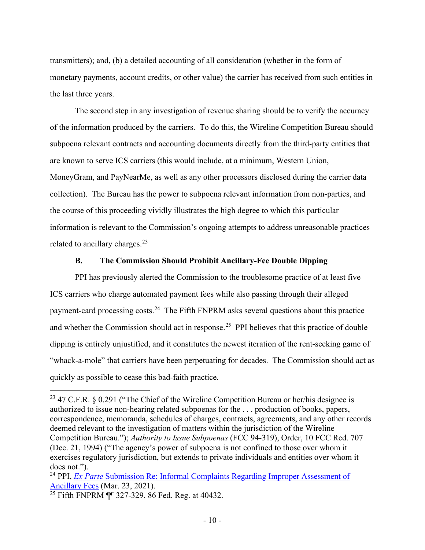transmitters); and, (b) a detailed accounting of all consideration (whether in the form of monetary payments, account credits, or other value) the carrier has received from such entities in the last three years.

The second step in any investigation of revenue sharing should be to verify the accuracy of the information produced by the carriers. To do this, the Wireline Competition Bureau should subpoena relevant contracts and accounting documents directly from the third-party entities that are known to serve ICS carriers (this would include, at a minimum, Western Union, MoneyGram, and PayNearMe, as well as any other processors disclosed during the carrier data collection). The Bureau has the power to subpoena relevant information from non-parties, and the course of this proceeding vividly illustrates the high degree to which this particular information is relevant to the Commission's ongoing attempts to address unreasonable practices related to ancillary charges. $^{23}$  $^{23}$  $^{23}$ 

#### **B. The Commission Should Prohibit Ancillary-Fee Double Dipping**

<span id="page-12-0"></span>PPI has previously alerted the Commission to the troublesome practice of at least five ICS carriers who charge automated payment fees while also passing through their alleged payment-card processing costs.<sup>24</sup> The Fifth FNPRM asks several questions about this practice and whether the Commission should act in response.<sup>[25](#page-12-3)</sup> PPI believes that this practice of double dipping is entirely unjustified, and it constitutes the newest iteration of the rent-seeking game of "whack-a-mole" that carriers have been perpetuating for decades. The Commission should act as quickly as possible to cease this bad-faith practice.

<span id="page-12-1"></span><sup>&</sup>lt;sup>23</sup> 47 C.F.R. § 0.291 ("The Chief of the Wireline Competition Bureau or her/his designee is authorized to issue non-hearing related subpoenas for the . . . production of books, papers, correspondence, memoranda, schedules of charges, contracts, agreements, and any other records deemed relevant to the investigation of matters within the jurisdiction of the Wireline Competition Bureau."); *Authority to Issue Subpoenas* (FCC 94-319), Order, 10 FCC Rcd. 707 (Dec. 21, 1994) ("The agency's power of subpoena is not confined to those over whom it exercises regulatory jurisdiction, but extends to private individuals and entities over whom it does not.").

<span id="page-12-2"></span><sup>&</sup>lt;sup>24</sup> PPI, *Ex Parte* Submission Re: Informal Complaints Regarding Improper Assessment of [Ancillary Fees](https://ecfsapi.fcc.gov/file/103231968900023/2021-03-23%20-%20Ex%20Parte%20re%20Informal%20Complaints.pdf) (Mar. 23, 2021).

<span id="page-12-3"></span> $\frac{25 \text{ Fifth FNPRM}}{11}$  327-329, 86 Fed. Reg. at 40432.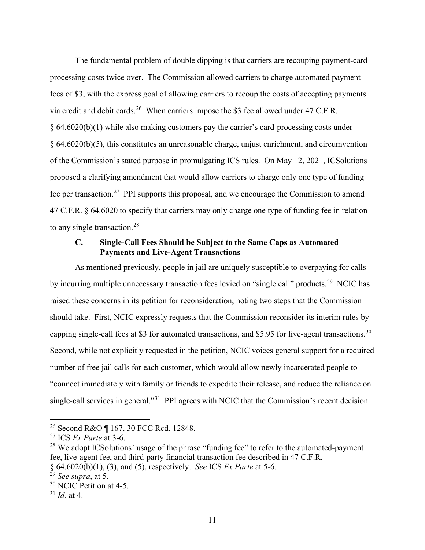The fundamental problem of double dipping is that carriers are recouping payment-card processing costs twice over. The Commission allowed carriers to charge automated payment fees of \$3, with the express goal of allowing carriers to recoup the costs of accepting payments via credit and debit cards.<sup>[26](#page-13-1)</sup> When carriers impose the \$3 fee allowed under 47 C.F.R. § 64.6020(b)(1) while also making customers pay the carrier's card-processing costs under § 64.6020(b)(5), this constitutes an unreasonable charge, unjust enrichment, and circumvention of the Commission's stated purpose in promulgating ICS rules. On May 12, 2021, ICSolutions proposed a clarifying amendment that would allow carriers to charge only one type of funding fee per transaction.<sup>[27](#page-13-2)</sup> PPI supports this proposal, and we encourage the Commission to amend 47 C.F.R. § 64.6020 to specify that carriers may only charge one type of funding fee in relation to any single transaction.<sup>[28](#page-13-3)</sup>

#### <span id="page-13-0"></span>**C. Single-Call Fees Should be Subject to the Same Caps as Automated Payments and Live-Agent Transactions**

As mentioned previously, people in jail are uniquely susceptible to overpaying for calls by incurring multiple unnecessary transaction fees levied on "single call" products.<sup>[29](#page-13-4)</sup> NCIC has raised these concerns in its petition for reconsideration, noting two steps that the Commission should take. First, NCIC expressly requests that the Commission reconsider its interim rules by capping single-call fees at \$3 for automated transactions, and \$5.95 for live-agent transactions.<sup>[30](#page-13-5)</sup> Second, while not explicitly requested in the petition, NCIC voices general support for a required number of free jail calls for each customer, which would allow newly incarcerated people to "connect immediately with family or friends to expedite their release, and reduce the reliance on single-call services in general."<sup>[31](#page-13-6)</sup> PPI agrees with NCIC that the Commission's recent decision

<span id="page-13-1"></span><sup>26</sup> Second R&O ¶ 167, 30 FCC Rcd. 12848.

<span id="page-13-2"></span><sup>27</sup> ICS *Ex Parte* at 3-6.

<span id="page-13-3"></span> $28$  We adopt ICS olutions' usage of the phrase "funding fee" to refer to the automated-payment fee, live-agent fee, and third-party financial transaction fee described in 47 C.F.R. § 64.6020(b)(1), (3), and (5), respectively. *See* ICS *Ex Parte* at 5-6.

<span id="page-13-4"></span><sup>29</sup> *See supra*, at 5.

<span id="page-13-5"></span><sup>&</sup>lt;sup>30</sup> NCIC Petition at 4-5.

<span id="page-13-6"></span> $31$  *Id.* at 4.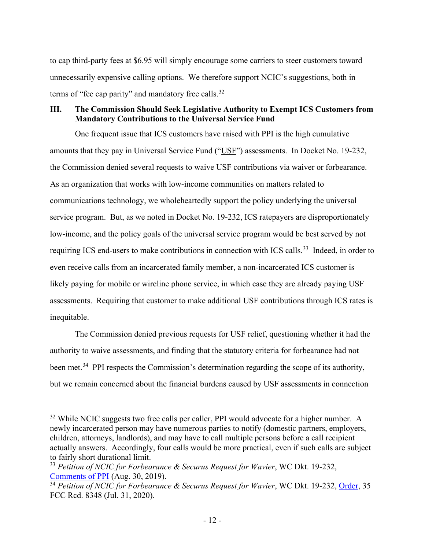to cap third-party fees at \$6.95 will simply encourage some carriers to steer customers toward unnecessarily expensive calling options. We therefore support NCIC's suggestions, both in terms of "fee cap parity" and mandatory free calls.<sup>[32](#page-14-1)</sup>

### <span id="page-14-0"></span>**III. The Commission Should Seek Legislative Authority to Exempt ICS Customers from Mandatory Contributions to the Universal Service Fund**

One frequent issue that ICS customers have raised with PPI is the high cumulative amounts that they pay in Universal Service Fund ("USF") assessments. In Docket No. 19-232, the Commission denied several requests to waive USF contributions via waiver or forbearance. As an organization that works with low-income communities on matters related to communications technology, we wholeheartedly support the policy underlying the universal service program. But, as we noted in Docket No. 19-232, ICS ratepayers are disproportionately low-income, and the policy goals of the universal service program would be best served by not requiring ICS end-users to make contributions in connection with ICS calls.<sup>33</sup> Indeed, in order to even receive calls from an incarcerated family member, a non-incarcerated ICS customer is likely paying for mobile or wireline phone service, in which case they are already paying USF assessments. Requiring that customer to make additional USF contributions through ICS rates is inequitable.

The Commission denied previous requests for USF relief, questioning whether it had the authority to waive assessments, and finding that the statutory criteria for forbearance had not been met.<sup>[34](#page-14-3)</sup> PPI respects the Commission's determination regarding the scope of its authority, but we remain concerned about the financial burdens caused by USF assessments in connection

<span id="page-14-1"></span><sup>&</sup>lt;sup>32</sup> While NCIC suggests two free calls per caller, PPI would advocate for a higher number. A newly incarcerated person may have numerous parties to notify (domestic partners, employers, children, attorneys, landlords), and may have to call multiple persons before a call recipient actually answers. Accordingly, four calls would be more practical, even if such calls are subject to fairly short durational limit.

<span id="page-14-2"></span><sup>33</sup> *Petition of NCIC for Forbearance & Securus Request for Wavier*, WC Dkt. 19-232, [Comments of PPI](https://ecfsapi.fcc.gov/file/108302703608538/Prison%20Policy%20Initiative%20Comment%20on%2019-232%20re%20USF.pdf) (Aug. 30, 2019).

<span id="page-14-3"></span><sup>34</sup> *Petition of NCIC for Forbearance & Securus Request for Wavier*, WC Dkt. 19-232, [Order,](https://www.fcc.gov/ecfs/filing/0731719716395) 35 FCC Rcd. 8348 (Jul. 31, 2020).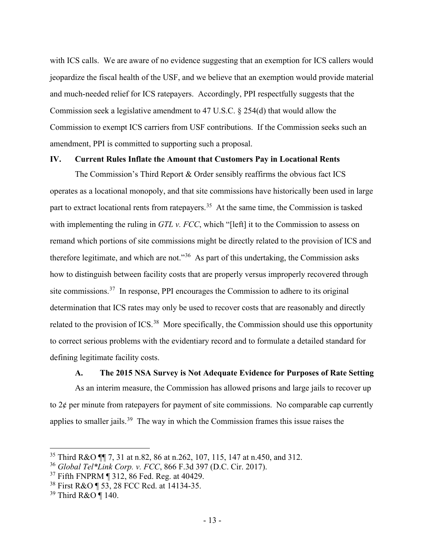with ICS calls. We are aware of no evidence suggesting that an exemption for ICS callers would jeopardize the fiscal health of the USF, and we believe that an exemption would provide material and much-needed relief for ICS ratepayers. Accordingly, PPI respectfully suggests that the Commission seek a legislative amendment to 47 U.S.C. § 254(d) that would allow the Commission to exempt ICS carriers from USF contributions. If the Commission seeks such an amendment, PPI is committed to supporting such a proposal.

#### <span id="page-15-0"></span>**IV. Current Rules Inflate the Amount that Customers Pay in Locational Rents**

The Commission's Third Report & Order sensibly reaffirms the obvious fact ICS operates as a locational monopoly, and that site commissions have historically been used in large part to extract locational rents from ratepayers.<sup>[35](#page-15-2)</sup> At the same time, the Commission is tasked with implementing the ruling in *GTL v. FCC*, which "[left] it to the Commission to assess on remand which portions of site commissions might be directly related to the provision of ICS and therefore legitimate, and which are not."<sup>36</sup> As part of this undertaking, the Commission asks how to distinguish between facility costs that are properly versus improperly recovered through site commissions.[37](#page-15-4) In response, PPI encourages the Commission to adhere to its original determination that ICS rates may only be used to recover costs that are reasonably and directly related to the provision of ICS.<sup>[38](#page-15-5)</sup> More specifically, the Commission should use this opportunity to correct serious problems with the evidentiary record and to formulate a detailed standard for defining legitimate facility costs.

#### **A. The 2015 NSA Survey is Not Adequate Evidence for Purposes of Rate Setting**

<span id="page-15-1"></span>As an interim measure, the Commission has allowed prisons and large jails to recover up to  $2\phi$  per minute from ratepayers for payment of site commissions. No comparable cap currently applies to smaller jails.[39](#page-15-6) The way in which the Commission frames this issue raises the

<span id="page-15-2"></span><sup>&</sup>lt;sup>35</sup> Third R&O ¶ 7, 31 at n.82, 86 at n.262, 107, 115, 147 at n.450, and 312.

<span id="page-15-3"></span><sup>36</sup> *Global Tel\*Link Corp. v. FCC*, 866 F.3d 397 (D.C. Cir. 2017).

<span id="page-15-4"></span><sup>37</sup> Fifth FNPRM ¶ 312, 86 Fed. Reg. at 40429.

<span id="page-15-5"></span><sup>38</sup> First R&O ¶ 53, 28 FCC Rcd. at 14134-35.

<span id="page-15-6"></span><sup>39</sup> Third R&O ¶ 140.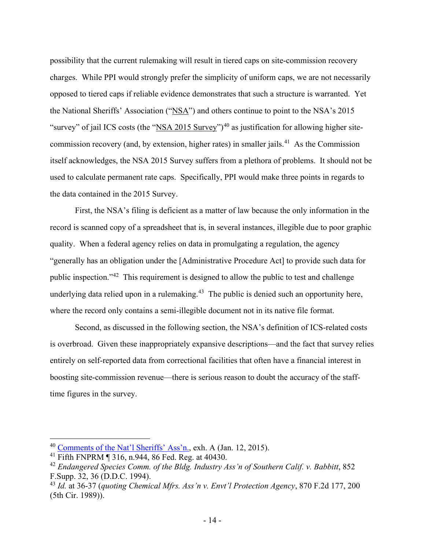possibility that the current rulemaking will result in tiered caps on site-commission recovery charges. While PPI would strongly prefer the simplicity of uniform caps, we are not necessarily opposed to tiered caps if reliable evidence demonstrates that such a structure is warranted. Yet the National Sheriffs' Association ("NSA") and others continue to point to the NSA's 2015 "survey" of jail ICS costs (the "NSA 2015 Survey")<sup>[40](#page-16-0)</sup> as justification for allowing higher sitecommission recovery (and, by extension, higher rates) in smaller jails.<sup>41</sup> As the Commission itself acknowledges, the NSA 2015 Survey suffers from a plethora of problems. It should not be used to calculate permanent rate caps. Specifically, PPI would make three points in regards to the data contained in the 2015 Survey.

First, the NSA's filing is deficient as a matter of law because the only information in the record is scanned copy of a spreadsheet that is, in several instances, illegible due to poor graphic quality. When a federal agency relies on data in promulgating a regulation, the agency "generally has an obligation under the [Administrative Procedure Act] to provide such data for public inspection."[42](#page-16-2) This requirement is designed to allow the public to test and challenge underlying data relied upon in a rulemaking. $43$  The public is denied such an opportunity here, where the record only contains a semi-illegible document not in its native file format.

Second, as discussed in the following section, the NSA's definition of ICS-related costs is overbroad. Given these inappropriately expansive descriptions—and the fact that survey relies entirely on self-reported data from correctional facilities that often have a financial interest in boosting site-commission revenue—there is serious reason to doubt the accuracy of the stafftime figures in the survey.

<span id="page-16-0"></span><sup>40</sup> [Comments of the Nat'l Sheriffs' Ass'n.,](https://ecfsapi.fcc.gov/file/60001012851.pdf) exh. A (Jan. 12, 2015).

<span id="page-16-1"></span><sup>41</sup> Fifth FNPRM ¶ 316, n.944, 86 Fed. Reg. at 40430.

<span id="page-16-2"></span><sup>42</sup> *Endangered Species Comm. of the Bldg. Industry Ass'n of Southern Calif. v. Babbitt*, 852 F.Supp. 32, 36 (D.D.C. 1994).

<span id="page-16-3"></span><sup>43</sup> *Id.* at 36-37 (*quoting Chemical Mfrs. Ass'n v. Envt'l Protection Agency*, 870 F.2d 177, 200 (5th Cir. 1989)).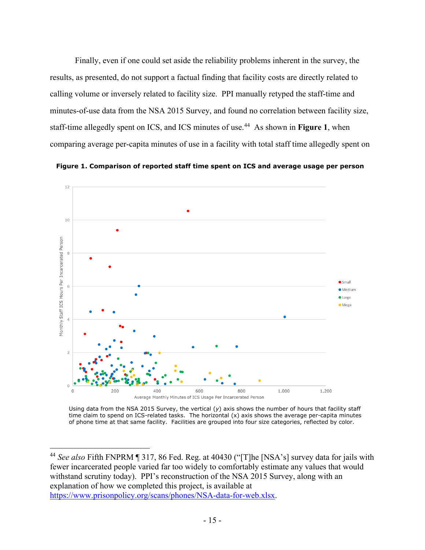Finally, even if one could set aside the reliability problems inherent in the survey, the results, as presented, do not support a factual finding that facility costs are directly related to calling volume or inversely related to facility size. PPI manually retyped the staff-time and minutes-of-use data from the NSA 2015 Survey, and found no correlation between facility size, staff-time allegedly spent on ICS, and ICS minutes of use.[44](#page-17-0) As shown in **Figure 1**, when comparing average per-capita minutes of use in a facility with total staff time allegedly spent on





Using data from the NSA 2015 Survey, the vertical (*y*) axis shows the number of hours that facility staff time claim to spend on ICS-related tasks. The horizontal (x) axis shows the average per-capita minutes of phone time at that same facility. Facilities are grouped into four size categories, reflected by color.

<span id="page-17-0"></span><sup>44</sup> *See also* Fifth FNPRM ¶ 317, 86 Fed. Reg. at 40430 ("[T]he [NSA's] survey data for jails with fewer incarcerated people varied far too widely to comfortably estimate any values that would withstand scrutiny today). PPI's reconstruction of the NSA 2015 Survey, along with an explanation of how we completed this project, is available at [https://www.prisonpolicy.org/scans/phones/NSA-data-for-web.xlsx.](https://www.prisonpolicy.org/scans/phones/NSA-data-for-web.xlsx)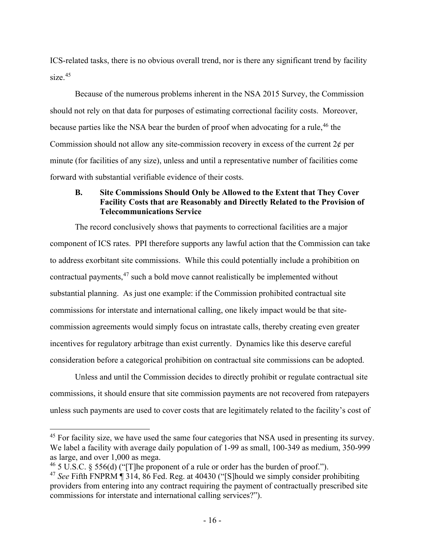ICS-related tasks, there is no obvious overall trend, nor is there any significant trend by facility size.<sup>[45](#page-18-1)</sup>

Because of the numerous problems inherent in the NSA 2015 Survey, the Commission should not rely on that data for purposes of estimating correctional facility costs. Moreover, because parties like the NSA bear the burden of proof when advocating for a rule,  $46$  the Commission should not allow any site-commission recovery in excess of the current  $2\phi$  per minute (for facilities of any size), unless and until a representative number of facilities come forward with substantial verifiable evidence of their costs.

# <span id="page-18-0"></span>**B. Site Commissions Should Only be Allowed to the Extent that They Cover Facility Costs that are Reasonably and Directly Related to the Provision of Telecommunications Service**

The record conclusively shows that payments to correctional facilities are a major component of ICS rates. PPI therefore supports any lawful action that the Commission can take to address exorbitant site commissions. While this could potentially include a prohibition on contractual payments, $47$  such a bold move cannot realistically be implemented without substantial planning. As just one example: if the Commission prohibited contractual site commissions for interstate and international calling, one likely impact would be that sitecommission agreements would simply focus on intrastate calls, thereby creating even greater incentives for regulatory arbitrage than exist currently. Dynamics like this deserve careful consideration before a categorical prohibition on contractual site commissions can be adopted.

Unless and until the Commission decides to directly prohibit or regulate contractual site commissions, it should ensure that site commission payments are not recovered from ratepayers unless such payments are used to cover costs that are legitimately related to the facility's cost of

<span id="page-18-1"></span><sup>&</sup>lt;sup>45</sup> For facility size, we have used the same four categories that NSA used in presenting its survey. We label a facility with average daily population of 1-99 as small, 100-349 as medium, 350-999 as large, and over 1,000 as mega.

<span id="page-18-2"></span><sup>&</sup>lt;sup>46</sup> 5 U.S.C. § 556(d) ("[T]he proponent of a rule or order has the burden of proof.").

<span id="page-18-3"></span><sup>47</sup> *See* Fifth FNPRM ¶ 314, 86 Fed. Reg. at 40430 ("[S]hould we simply consider prohibiting providers from entering into any contract requiring the payment of contractually prescribed site commissions for interstate and international calling services?").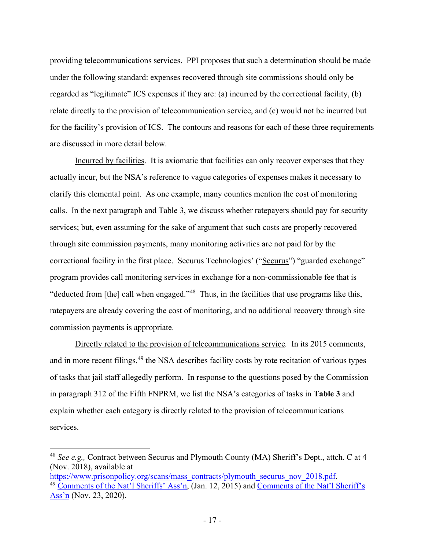providing telecommunications services. PPI proposes that such a determination should be made under the following standard: expenses recovered through site commissions should only be regarded as "legitimate" ICS expenses if they are: (a) incurred by the correctional facility, (b) relate directly to the provision of telecommunication service, and (c) would not be incurred but for the facility's provision of ICS. The contours and reasons for each of these three requirements are discussed in more detail below.

Incurred by facilities. It is axiomatic that facilities can only recover expenses that they actually incur, but the NSA's reference to vague categories of expenses makes it necessary to clarify this elemental point. As one example, many counties mention the cost of monitoring calls. In the next paragraph and Table 3, we discuss whether ratepayers should pay for security services; but, even assuming for the sake of argument that such costs are properly recovered through site commission payments, many monitoring activities are not paid for by the correctional facility in the first place. Securus Technologies' ("Securus") "guarded exchange" program provides call monitoring services in exchange for a non-commissionable fee that is "deducted from [the] call when engaged."<sup>48</sup> Thus, in the facilities that use programs like this, ratepayers are already covering the cost of monitoring, and no additional recovery through site commission payments is appropriate.

Directly related to the provision of telecommunications service*.* In its 2015 comments, and in more recent filings,<sup>[49](#page-19-1)</sup> the NSA describes facility costs by rote recitation of various types of tasks that jail staff allegedly perform. In response to the questions posed by the Commission in paragraph 312 of the Fifth FNPRM, we list the NSA's categories of tasks in **Table 3** and explain whether each category is directly related to the provision of telecommunications services.

<span id="page-19-0"></span><sup>48</sup> *See e.g.,* Contract between Securus and Plymouth County (MA) Sheriff's Dept., attch. C at 4 (Nov. 2018), available at

<span id="page-19-1"></span>[https://www.prisonpolicy.org/scans/mass\\_contracts/plymouth\\_securus\\_nov\\_2018.pdf.](https://www.prisonpolicy.org/scans/mass_contracts/plymouth_securus_nov_2018.pdf) <sup>49</sup> [Comments of the Nat'l Sheriffs' Ass'n,](https://ecfsapi.fcc.gov/file/60001012851.pdf) (Jan. 12, 2015) and [Comments of the Nat'l Sheriff's](https://ecfsapi.fcc.gov/file/1123280121139/NSA%20Comments.12-375.pdf)  [Ass'n](https://ecfsapi.fcc.gov/file/1123280121139/NSA%20Comments.12-375.pdf) (Nov. 23, 2020).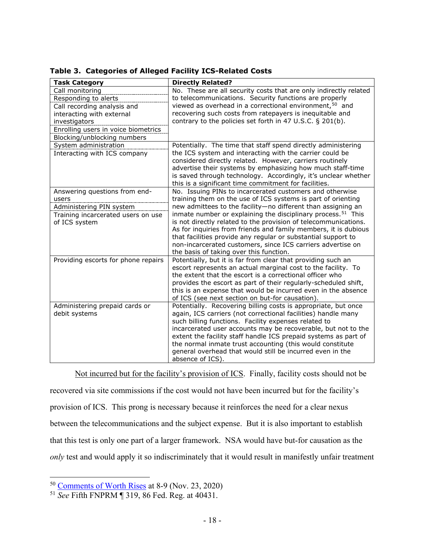| <b>Task Category</b>                | <b>Directly Related?</b>                                                                                              |  |  |  |
|-------------------------------------|-----------------------------------------------------------------------------------------------------------------------|--|--|--|
| Call monitoring                     | No. These are all security costs that are only indirectly related                                                     |  |  |  |
| Responding to alerts                | to telecommunications. Security functions are properly                                                                |  |  |  |
| Call recording analysis and         | viewed as overhead in a correctional environment, <sup>50</sup> and                                                   |  |  |  |
| interacting with external           | recovering such costs from ratepayers is inequitable and                                                              |  |  |  |
| investigators                       | contrary to the policies set forth in 47 U.S.C. § 201(b).                                                             |  |  |  |
| Enrolling users in voice biometrics |                                                                                                                       |  |  |  |
| Blocking/unblocking numbers         |                                                                                                                       |  |  |  |
| System administration               | Potentially. The time that staff spend directly administering                                                         |  |  |  |
| Interacting with ICS company        | the ICS system and interacting with the carrier could be                                                              |  |  |  |
|                                     | considered directly related. However, carriers routinely                                                              |  |  |  |
|                                     | advertise their systems by emphasizing how much staff-time                                                            |  |  |  |
|                                     | is saved through technology. Accordingly, it's unclear whether                                                        |  |  |  |
|                                     | this is a significant time commitment for facilities.                                                                 |  |  |  |
| Answering questions from end-       | No. Issuing PINs to incarcerated customers and otherwise                                                              |  |  |  |
| users                               | training them on the use of ICS systems is part of orienting                                                          |  |  |  |
| Administering PIN system            | new admittees to the facility-no different than assigning an                                                          |  |  |  |
| Training incarcerated users on use  | inmate number or explaining the disciplinary process. <sup>51</sup> This                                              |  |  |  |
| of ICS system                       | is not directly related to the provision of telecommunications.                                                       |  |  |  |
|                                     | As for inquiries from friends and family members, it is dubious                                                       |  |  |  |
|                                     | that facilities provide any regular or substantial support to                                                         |  |  |  |
|                                     | non-incarcerated customers, since ICS carriers advertise on                                                           |  |  |  |
|                                     | the basis of taking over this function.                                                                               |  |  |  |
| Providing escorts for phone repairs | Potentially, but it is far from clear that providing such an                                                          |  |  |  |
|                                     | escort represents an actual marginal cost to the facility. To                                                         |  |  |  |
|                                     | the extent that the escort is a correctional officer who                                                              |  |  |  |
|                                     | provides the escort as part of their regularly-scheduled shift,                                                       |  |  |  |
|                                     | this is an expense that would be incurred even in the absence                                                         |  |  |  |
|                                     | of ICS (see next section on but-for causation).                                                                       |  |  |  |
| Administering prepaid cards or      | Potentially. Recovering billing costs is appropriate, but once                                                        |  |  |  |
| debit systems                       | again, ICS carriers (not correctional facilities) handle many                                                         |  |  |  |
|                                     | such billing functions. Facility expenses related to<br>incarcerated user accounts may be recoverable, but not to the |  |  |  |
|                                     | extent the facility staff handle ICS prepaid systems as part of                                                       |  |  |  |
|                                     | the normal inmate trust accounting (this would constitute                                                             |  |  |  |
|                                     | general overhead that would still be incurred even in the                                                             |  |  |  |
|                                     | absence of ICS).                                                                                                      |  |  |  |
|                                     |                                                                                                                       |  |  |  |

**Table 3. Categories of Alleged Facility ICS-Related Costs**

Not incurred but for the facility's provision of ICS. Finally, facility costs should not be recovered via site commissions if the cost would not have been incurred but for the facility's provision of ICS. This prong is necessary because it reinforces the need for a clear nexus between the telecommunications and the subject expense. But it is also important to establish that this test is only one part of a larger framework. NSA would have but-for causation as the *only* test and would apply it so indiscriminately that it would result in manifestly unfair treatment

<span id="page-20-0"></span><sup>50</sup> [Comments of Worth Rises](https://ecfsapi.fcc.gov/file/1123999325387/2020.11.23%20-%20Fourth%20NPRM%20-%20Worth%20Rises%20Comment.pdf) at 8-9 (Nov. 23, 2020)

<span id="page-20-1"></span><sup>51</sup> *See* Fifth FNPRM ¶ 319, 86 Fed. Reg. at 40431.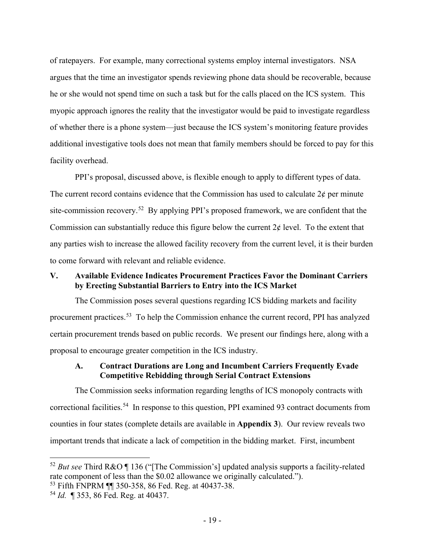of ratepayers. For example, many correctional systems employ internal investigators. NSA argues that the time an investigator spends reviewing phone data should be recoverable, because he or she would not spend time on such a task but for the calls placed on the ICS system. This myopic approach ignores the reality that the investigator would be paid to investigate regardless of whether there is a phone system—just because the ICS system's monitoring feature provides additional investigative tools does not mean that family members should be forced to pay for this facility overhead.

PPI's proposal, discussed above, is flexible enough to apply to different types of data. The current record contains evidence that the Commission has used to calculate  $2\phi$  per minute site-commission recovery.<sup>[52](#page-21-2)</sup> By applying PPI's proposed framework, we are confident that the Commission can substantially reduce this figure below the current  $2\phi$  level. To the extent that any parties wish to increase the allowed facility recovery from the current level, it is their burden to come forward with relevant and reliable evidence.

### <span id="page-21-0"></span>**V. Available Evidence Indicates Procurement Practices Favor the Dominant Carriers by Erecting Substantial Barriers to Entry into the ICS Market**

The Commission poses several questions regarding ICS bidding markets and facility procurement practices.[53](#page-21-3) To help the Commission enhance the current record, PPI has analyzed certain procurement trends based on public records. We present our findings here, along with a proposal to encourage greater competition in the ICS industry.

#### <span id="page-21-1"></span>**A. Contract Durations are Long and Incumbent Carriers Frequently Evade Competitive Rebidding through Serial Contract Extensions**

The Commission seeks information regarding lengths of ICS monopoly contracts with correctional facilities.[54](#page-21-4) In response to this question, PPI examined 93 contract documents from counties in four states (complete details are available in **Appendix 3**). Our review reveals two important trends that indicate a lack of competition in the bidding market. First, incumbent

<span id="page-21-2"></span><sup>52</sup> *But see* Third R&O ¶ 136 ("[The Commission's] updated analysis supports a facility-related rate component of less than the \$0.02 allowance we originally calculated.").

<span id="page-21-3"></span><sup>53</sup> Fifth FNPRM ¶¶ 350-358, 86 Fed. Reg. at 40437-38.

<span id="page-21-4"></span><sup>54</sup> *Id.* ¶ 353, 86 Fed. Reg. at 40437.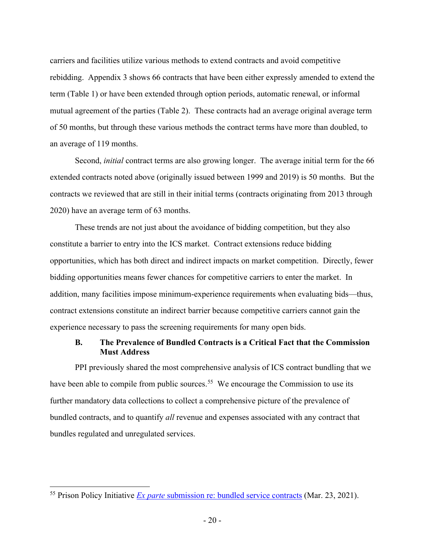carriers and facilities utilize various methods to extend contracts and avoid competitive rebidding. Appendix 3 shows 66 contracts that have been either expressly amended to extend the term (Table 1) or have been extended through option periods, automatic renewal, or informal mutual agreement of the parties (Table 2). These contracts had an average original average term of 50 months, but through these various methods the contract terms have more than doubled, to an average of 119 months.

Second, *initial* contract terms are also growing longer. The average initial term for the 66 extended contracts noted above (originally issued between 1999 and 2019) is 50 months. But the contracts we reviewed that are still in their initial terms (contracts originating from 2013 through 2020) have an average term of 63 months.

These trends are not just about the avoidance of bidding competition, but they also constitute a barrier to entry into the ICS market. Contract extensions reduce bidding opportunities, which has both direct and indirect impacts on market competition. Directly, fewer bidding opportunities means fewer chances for competitive carriers to enter the market. In addition, many facilities impose minimum-experience requirements when evaluating bids—thus, contract extensions constitute an indirect barrier because competitive carriers cannot gain the experience necessary to pass the screening requirements for many open bids.

#### <span id="page-22-0"></span>**B. The Prevalence of Bundled Contracts is a Critical Fact that the Commission Must Address**

PPI previously shared the most comprehensive analysis of ICS contract bundling that we have been able to compile from public sources.<sup>[55](#page-22-1)</sup> We encourage the Commission to use its further mandatory data collections to collect a comprehensive picture of the prevalence of bundled contracts, and to quantify *all* revenue and expenses associated with any contract that bundles regulated and unregulated services.

<span id="page-22-1"></span><sup>55</sup> Prison Policy Initiative *Ex parte* [submission re: bundled service contracts](https://ecfsapi.fcc.gov/file/10323139526706/2021-03-23%20-%20Ex%20parte%20re%20bundling%20data.pdf) (Mar. 23, 2021).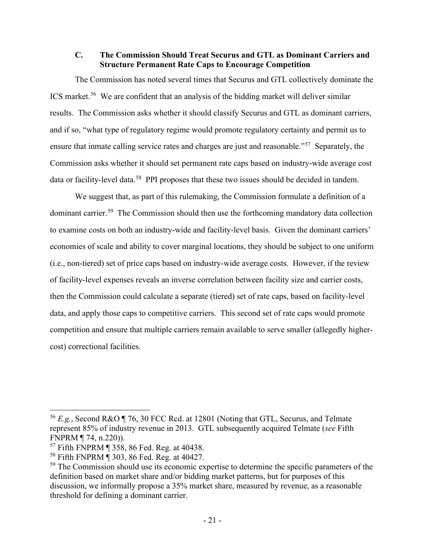#### <span id="page-23-4"></span>**C. The Commission Should Treat Securus and GTL as Dominant Carriers and Structure Permanent Rate Caps to Encourage Competition**

The Commission has noted several times that Securus and GTL collectively dominate the ICS market.[56](#page-23-0) We are confident that an analysis of the bidding market will deliver similar results. The Commission asks whether it should classify Securus and GTL as dominant carriers, and if so, "what type of regulatory regime would promote regulatory certainty and permit us to ensure that inmate calling service rates and charges are just and reasonable."<sup>57</sup> Separately, the Commission asks whether it should set permanent rate caps based on industry-wide average cost data or facility-level data.<sup>58</sup> PPI proposes that these two issues should be decided in tandem.

We suggest that, as part of this rulemaking, the Commission formulate a definition of a dominant carrier.[59](#page-23-3) The Commission should then use the forthcoming mandatory data collection to examine costs on both an industry-wide and facility-level basis. Given the dominant carriers' economies of scale and ability to cover marginal locations, they should be subject to one uniform (i.e., non-tiered) set of price caps based on industry-wide average costs. However, if the review of facility-level expenses reveals an inverse correlation between facility size and carrier costs, then the Commission could calculate a separate (tiered) set of rate caps, based on facility-level data, and apply those caps to competitive carriers. This second set of rate caps would promote competition and ensure that multiple carriers remain available to serve smaller (allegedly highercost) correctional facilities.

<span id="page-23-0"></span><sup>56</sup> *E.g.*, Second R&O ¶ 76, 30 FCC Rcd. at 12801 (Noting that GTL, Securus, and Telmate represent 85% of industry revenue in 2013. GTL subsequently acquired Telmate (*see* Fifth FNPRM ¶ 74, n.220)).

<span id="page-23-1"></span><sup>57</sup> Fifth FNPRM ¶ 358, 86 Fed. Reg. at 40438.

<span id="page-23-2"></span><sup>58</sup> Fifth FNPRM ¶ 303, 86 Fed. Reg. at 40427.

<span id="page-23-3"></span> $59$  The Commission should use its economic expertise to determine the specific parameters of the definition based on market share and/or bidding market patterns, but for purposes of this discussion, we informally propose a 35% market share, measured by revenue, as a reasonable threshold for defining a dominant carrier.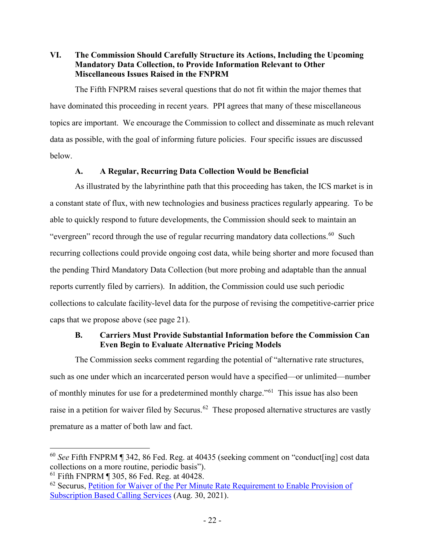### <span id="page-24-0"></span>**VI. The Commission Should Carefully Structure its Actions, Including the Upcoming Mandatory Data Collection, to Provide Information Relevant to Other Miscellaneous Issues Raised in the FNPRM**

The Fifth FNPRM raises several questions that do not fit within the major themes that have dominated this proceeding in recent years. PPI agrees that many of these miscellaneous topics are important. We encourage the Commission to collect and disseminate as much relevant data as possible, with the goal of informing future policies. Four specific issues are discussed below.

# **A. A Regular, Recurring Data Collection Would be Beneficial**

<span id="page-24-1"></span>As illustrated by the labyrinthine path that this proceeding has taken, the ICS market is in a constant state of flux, with new technologies and business practices regularly appearing. To be able to quickly respond to future developments, the Commission should seek to maintain an "evergreen" record through the use of regular recurring mandatory data collections.<sup>[60](#page-24-3)</sup> Such recurring collections could provide ongoing cost data, while being shorter and more focused than the pending Third Mandatory Data Collection (but more probing and adaptable than the annual reports currently filed by carriers). In addition, the Commission could use such periodic collections to calculate facility-level data for the purpose of revising the competitive-carrier price caps that we propose above (see page [21\)](#page-23-4).

# <span id="page-24-2"></span>**B. Carriers Must Provide Substantial Information before the Commission Can Even Begin to Evaluate Alternative Pricing Models**

The Commission seeks comment regarding the potential of "alternative rate structures, such as one under which an incarcerated person would have a specified—or unlimited—number of monthly minutes for use for a predetermined monthly charge."<sup>[61](#page-24-4)</sup> This issue has also been raise in a petition for waiver filed by Securus.<sup>[62](#page-24-5)</sup> These proposed alternative structures are vastly premature as a matter of both law and fact.

<span id="page-24-3"></span><sup>60</sup> *See* Fifth FNPRM ¶ 342, 86 Fed. Reg. at 40435 (seeking comment on "conduct[ing] cost data collections on a more routine, periodic basis").

<span id="page-24-4"></span><sup>61</sup> Fifth FNPRM ¶ 305, 86 Fed. Reg. at 40428.

<span id="page-24-5"></span><sup>&</sup>lt;sup>62</sup> Securus, Petition for Waiver of the Per Minute Rate Requirement to Enable Provision of [Subscription Based Calling Services](https://ecfsapi.fcc.gov/file/10830227993038/Subscription%20Plan%20Waiver%20Petition.PDF) (Aug. 30, 2021).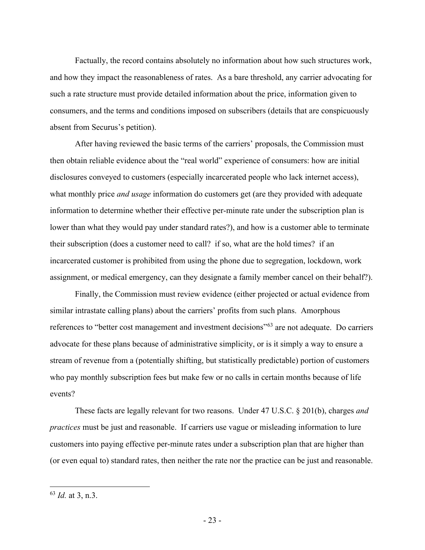Factually, the record contains absolutely no information about how such structures work, and how they impact the reasonableness of rates. As a bare threshold, any carrier advocating for such a rate structure must provide detailed information about the price, information given to consumers, and the terms and conditions imposed on subscribers (details that are conspicuously absent from Securus's petition).

After having reviewed the basic terms of the carriers' proposals, the Commission must then obtain reliable evidence about the "real world" experience of consumers: how are initial disclosures conveyed to customers (especially incarcerated people who lack internet access), what monthly price *and usage* information do customers get (are they provided with adequate information to determine whether their effective per-minute rate under the subscription plan is lower than what they would pay under standard rates?), and how is a customer able to terminate their subscription (does a customer need to call? if so, what are the hold times? if an incarcerated customer is prohibited from using the phone due to segregation, lockdown, work assignment, or medical emergency, can they designate a family member cancel on their behalf?).

Finally, the Commission must review evidence (either projected or actual evidence from similar intrastate calling plans) about the carriers' profits from such plans. Amorphous references to "better cost management and investment decisions"<sup>[63](#page-25-0)</sup> are not adequate. Do carriers advocate for these plans because of administrative simplicity, or is it simply a way to ensure a stream of revenue from a (potentially shifting, but statistically predictable) portion of customers who pay monthly subscription fees but make few or no calls in certain months because of life events?

These facts are legally relevant for two reasons. Under 47 U.S.C. § 201(b), charges *and practices* must be just and reasonable. If carriers use vague or misleading information to lure customers into paying effective per-minute rates under a subscription plan that are higher than (or even equal to) standard rates, then neither the rate nor the practice can be just and reasonable.

<span id="page-25-0"></span><sup>63</sup> *Id.* at 3, n.3.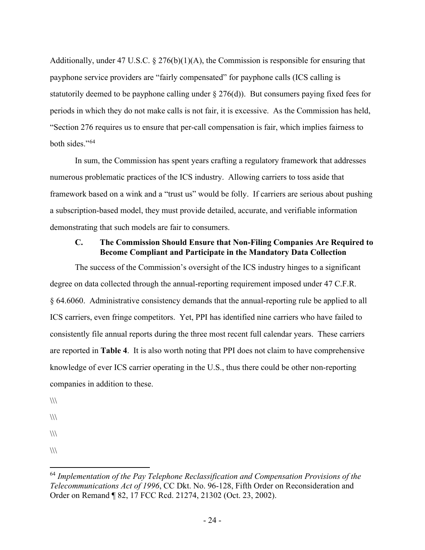Additionally, under 47 U.S.C.  $\S 276(b)(1)(A)$ , the Commission is responsible for ensuring that payphone service providers are "fairly compensated" for payphone calls (ICS calling is statutorily deemed to be payphone calling under  $\S 276(d)$ ). But consumers paying fixed fees for periods in which they do not make calls is not fair, it is excessive. As the Commission has held, "Section 276 requires us to ensure that per-call compensation is fair, which implies fairness to both sides."[64](#page-26-1)

In sum, the Commission has spent years crafting a regulatory framework that addresses numerous problematic practices of the ICS industry. Allowing carriers to toss aside that framework based on a wink and a "trust us" would be folly. If carriers are serious about pushing a subscription-based model, they must provide detailed, accurate, and verifiable information demonstrating that such models are fair to consumers.

#### <span id="page-26-0"></span>**C. The Commission Should Ensure that Non-Filing Companies Are Required to Become Compliant and Participate in the Mandatory Data Collection**

The success of the Commission's oversight of the ICS industry hinges to a significant degree on data collected through the annual-reporting requirement imposed under 47 C.F.R. § 64.6060. Administrative consistency demands that the annual-reporting rule be applied to all ICS carriers, even fringe competitors. Yet, PPI has identified nine carriers who have failed to consistently file annual reports during the three most recent full calendar years. These carriers are reported in **Table 4**. It is also worth noting that PPI does not claim to have comprehensive knowledge of ever ICS carrier operating in the U.S., thus there could be other non-reporting companies in addition to these.

 $\sqrt{2}$ 

 $\langle \rangle$ 

 $\langle \rangle$ 

 $\langle \rangle$ 

<span id="page-26-1"></span><sup>64</sup> *Implementation of the Pay Telephone Reclassification and Compensation Provisions of the Telecommunications Act of 1996*, CC Dkt. No. 96-128, Fifth Order on Reconsideration and Order on Remand ¶ 82, 17 FCC Rcd. 21274, 21302 (Oct. 23, 2002).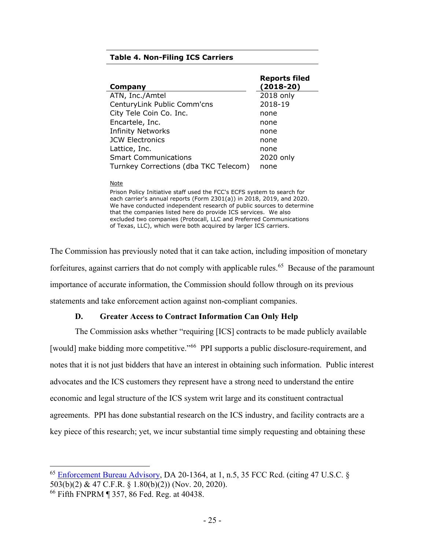#### **Table 4. Non-Filing ICS Carriers**

|                                       | <b>Reports filed</b> |
|---------------------------------------|----------------------|
| Company                               | $(2018-20)$          |
| ATN, Inc./Amtel                       | 2018 only            |
| CenturyLink Public Comm'cns           | 2018-19              |
| City Tele Coin Co. Inc.               | none                 |
| Encartele, Inc.                       | none                 |
| <b>Infinity Networks</b>              | none                 |
| <b>JCW Electronics</b>                | none                 |
| Lattice, Inc.                         | none                 |
| <b>Smart Communications</b>           | 2020 only            |
| Turnkey Corrections (dba TKC Telecom) | none                 |

#### **Note**

Prison Policy Initiative staff used the FCC's ECFS system to search for each carrier's annual reports (Form 2301(a)) in 2018, 2019, and 2020. We have conducted independent research of public sources to determine that the companies listed here do provide ICS services. We also excluded two companies (Protocall, LLC and Preferred Communications of Texas, LLC), which were both acquired by larger ICS carriers.

The Commission has previously noted that it can take action, including imposition of monetary forfeitures, against carriers that do not comply with applicable rules.<sup>65</sup> Because of the paramount importance of accurate information, the Commission should follow through on its previous statements and take enforcement action against non-compliant companies.

#### **D. Greater Access to Contract Information Can Only Help**

<span id="page-27-0"></span>The Commission asks whether "requiring [ICS] contracts to be made publicly available [would] make bidding more competitive."<sup>66</sup> PPI supports a public disclosure-requirement, and notes that it is not just bidders that have an interest in obtaining such information. Public interest advocates and the ICS customers they represent have a strong need to understand the entire economic and legal structure of the ICS system writ large and its constituent contractual agreements. PPI has done substantial research on the ICS industry, and facility contracts are a key piece of this research; yet, we incur substantial time simply requesting and obtaining these

<span id="page-27-1"></span> $65$  Enforcement Bureau Advisory, DA 20-1364, at 1, n.5, 35 FCC Rcd. (citing 47 U.S.C.  $\S$ 503(b)(2) & 47 C.F.R. § 1.80(b)(2)) (Nov. 20, 2020).

<span id="page-27-2"></span><sup>66</sup> Fifth FNPRM ¶ 357, 86 Fed. Reg. at 40438.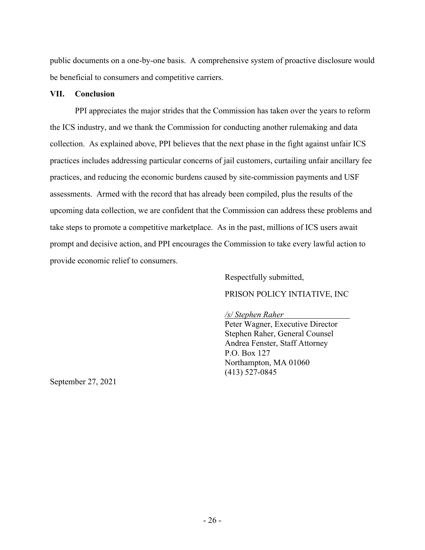public documents on a one-by-one basis. A comprehensive system of proactive disclosure would be beneficial to consumers and competitive carriers.

#### <span id="page-28-0"></span>**VII. Conclusion**

PPI appreciates the major strides that the Commission has taken over the years to reform the ICS industry, and we thank the Commission for conducting another rulemaking and data collection. As explained above, PPI believes that the next phase in the fight against unfair ICS practices includes addressing particular concerns of jail customers, curtailing unfair ancillary fee practices, and reducing the economic burdens caused by site-commission payments and USF assessments. Armed with the record that has already been compiled, plus the results of the upcoming data collection, we are confident that the Commission can address these problems and take steps to promote a competitive marketplace. As in the past, millions of ICS users await prompt and decisive action, and PPI encourages the Commission to take every lawful action to provide economic relief to consumers.

Respectfully submitted,

# PRISON POLICY INTIATIVE, INC

#### */s/ Stephen Raher*

Peter Wagner, Executive Director Stephen Raher, General Counsel Andrea Fenster, Staff Attorney P.O. Box 127 Northampton, MA 01060 (413) 527-0845

September 27, 2021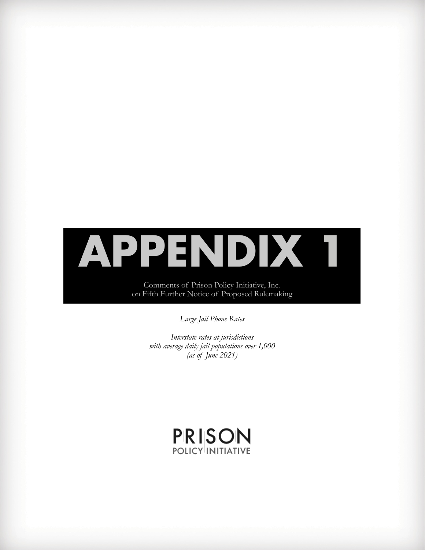# **APPENDIX 1**

Comments of Prison Policy Initiative, Inc. on Fifth Further Notice of Proposed Rulemaking

*Large Jail Phone Rates*

*Interstate rates at jurisdictions with average daily jail populations over 1,000 (as of June 2021)*

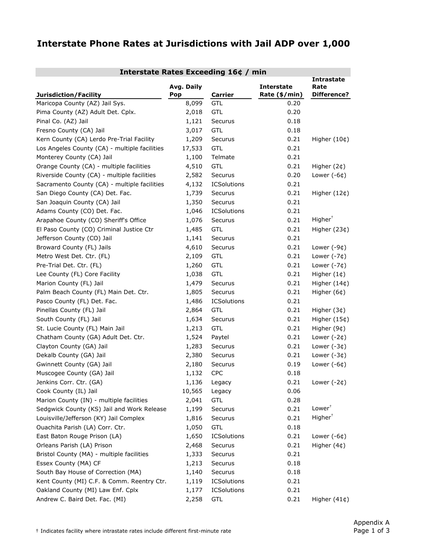# **Interstate Phone Rates at Jurisdictions with Jail ADP over 1,000**

| Interstate Rates Exceeding 16¢ / min          |                   |                    |                                    |                                                 |  |  |
|-----------------------------------------------|-------------------|--------------------|------------------------------------|-------------------------------------------------|--|--|
| Jurisdiction/Facility                         | Avg. Daily<br>Pop | <b>Carrier</b>     | <b>Interstate</b><br>Rate (\$/min) | <b>Intrastate</b><br>Rate<br><b>Difference?</b> |  |  |
| Maricopa County (AZ) Jail Sys.                | 8,099             | GTL                | 0.20                               |                                                 |  |  |
| Pima County (AZ) Adult Det. Cplx.             | 2,018             | <b>GTL</b>         | 0.20                               |                                                 |  |  |
| Pinal Co. (AZ) Jail                           | 1,121             | Securus            | 0.18                               |                                                 |  |  |
| Fresno County (CA) Jail                       | 3,017             | <b>GTL</b>         | 0.18                               |                                                 |  |  |
| Kern County (CA) Lerdo Pre-Trial Facility     | 1,209             | Securus            | 0.21                               | Higher $(10¢)$                                  |  |  |
| Los Angeles County (CA) - multiple facilities | 17,533            | <b>GTL</b>         | 0.21                               |                                                 |  |  |
| Monterey County (CA) Jail                     | 1,100             | Telmate            | 0.21                               |                                                 |  |  |
| Orange County (CA) - multiple facilities      | 4,510             | <b>GTL</b>         | 0.21                               | Higher $(2¢)$                                   |  |  |
| Riverside County (CA) - multiple facilities   | 2,582             | Securus            | 0.20                               | Lower $(-6¢)$                                   |  |  |
| Sacramento County (CA) - multiple facilities  | 4,132             | <b>ICSolutions</b> | 0.21                               |                                                 |  |  |
| San Diego County (CA) Det. Fac.               | 1,739             | Securus            | 0.21                               | Higher (12¢)                                    |  |  |
| San Joaquin County (CA) Jail                  | 1,350             | Securus            | 0.21                               |                                                 |  |  |
| Adams County (CO) Det. Fac.                   | 1,046             | <b>ICSolutions</b> | 0.21                               |                                                 |  |  |
| Arapahoe County (CO) Sheriff's Office         | 1,076             | Securus            | 0.21                               | $Higher^{\dagger}$                              |  |  |
| El Paso County (CO) Criminal Justice Ctr      | 1,485             | <b>GTL</b>         | 0.21                               | Higher (23¢)                                    |  |  |
| Jefferson County (CO) Jail                    | 1,141             | Securus            | 0.21                               |                                                 |  |  |
| Broward County (FL) Jails                     | 4,610             | Securus            | 0.21                               | Lower $(-9¢)$                                   |  |  |
| Metro West Det. Ctr. (FL)                     | 2,109             | <b>GTL</b>         | 0.21                               | Lower $(-7¢)$                                   |  |  |
| Pre-Trial Det. Ctr. (FL)                      | 1,260             | <b>GTL</b>         | 0.21                               | Lower $(-7¢)$                                   |  |  |
| Lee County (FL) Core Facility                 | 1,038             | GTL                | 0.21                               | Higher $(1¢)$                                   |  |  |
| Marion County (FL) Jail                       | 1,479             | Securus            | 0.21                               | Higher (14¢)                                    |  |  |
| Palm Beach County (FL) Main Det. Ctr.         | 1,805             | Securus            | 0.21                               | Higher (6¢)                                     |  |  |
| Pasco County (FL) Det. Fac.                   | 1,486             | ICSolutions        | 0.21                               |                                                 |  |  |
| Pinellas County (FL) Jail                     | 2,864             | <b>GTL</b>         | 0.21                               | Higher $(3¢)$                                   |  |  |
| South County (FL) Jail                        | 1,634             | Securus            | 0.21                               | Higher (15¢)                                    |  |  |
| St. Lucie County (FL) Main Jail               | 1,213             | GTL                | 0.21                               | Higher (9¢)                                     |  |  |
| Chatham County (GA) Adult Det. Ctr.           | 1,524             | Paytel             | 0.21                               | Lower $(-2¢)$                                   |  |  |
| Clayton County (GA) Jail                      | 1,283             | Securus            | 0.21                               | Lower $(-3¢)$                                   |  |  |
| Dekalb County (GA) Jail                       | 2,380             | Securus            | 0.21                               | Lower $(-3¢)$                                   |  |  |
| Gwinnett County (GA) Jail                     | 2,180             | Securus            | 0.19                               | Lower $(-6¢)$                                   |  |  |
| Muscogee County (GA) Jail                     | 1,132             | <b>CPC</b>         | 0.18                               |                                                 |  |  |
| Jenkins Corr. Ctr. (GA)                       | 1,136             | Legacy             | 0.21                               | Lower $(-2¢)$                                   |  |  |
| Cook County (IL) Jail                         | 10,565            | Legacy             | 0.06                               |                                                 |  |  |
| Marion County (IN) - multiple facilities      | 2,041             | <b>GTL</b>         | 0.28                               |                                                 |  |  |
| Sedgwick County (KS) Jail and Work Release    | 1,199             | Securus            | 0.21                               | Lower <sup>†</sup>                              |  |  |
| Louisville/Jefferson (KY) Jail Complex        | 1,816             | Securus            | 0.21                               | $Higher^{\dagger}$                              |  |  |
| Ouachita Parish (LA) Corr. Ctr.               | 1,050             | <b>GTL</b>         | 0.18                               |                                                 |  |  |
| East Baton Rouge Prison (LA)                  | 1,650             | ICSolutions        | 0.21                               | Lower $(-6¢)$                                   |  |  |
| Orleans Parish (LA) Prison                    | 2,468             | Securus            | 0.21                               | Higher $(4¢)$                                   |  |  |
| Bristol County (MA) - multiple facilities     | 1,333             | Securus            | 0.21                               |                                                 |  |  |
| Essex County (MA) CF                          | 1,213             | Securus            | 0.18                               |                                                 |  |  |
| South Bay House of Correction (MA)            | 1,140             | Securus            | 0.18                               |                                                 |  |  |
| Kent County (MI) C.F. & Comm. Reentry Ctr.    | 1,119             | ICSolutions        | 0.21                               |                                                 |  |  |
| Oakland County (MI) Law Enf. Cplx             | 1,177             | <b>ICSolutions</b> | 0.21                               |                                                 |  |  |
| Andrew C. Baird Det. Fac. (MI)                | 2,258             | <b>GTL</b>         | 0.21                               | Higher (41¢)                                    |  |  |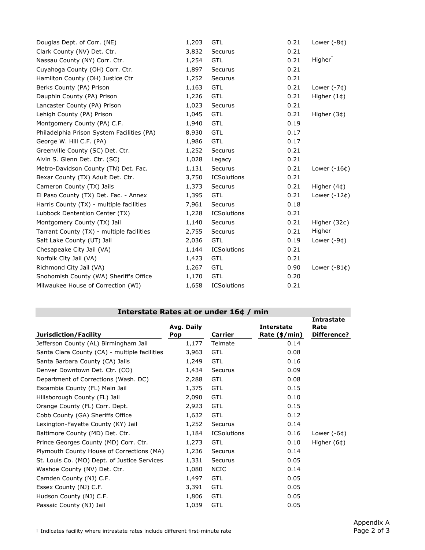| 1,203 | <b>GTL</b>         | 0.21 | Lower $(-8¢)$       |
|-------|--------------------|------|---------------------|
| 3,832 | Securus            | 0.21 |                     |
| 1,254 | <b>GTL</b>         | 0.21 | Higher <sup>†</sup> |
| 1,897 | Securus            | 0.21 |                     |
| 1,252 | Securus            | 0.21 |                     |
| 1,163 | <b>GTL</b>         | 0.21 | Lower $(-7¢)$       |
| 1,226 | <b>GTL</b>         | 0.21 | Higher $(1¢)$       |
| 1,023 | Securus            | 0.21 |                     |
| 1,045 | <b>GTL</b>         | 0.21 | Higher $(3¢)$       |
| 1,940 | <b>GTL</b>         | 0.19 |                     |
| 8,930 | <b>GTL</b>         | 0.17 |                     |
| 1,986 | <b>GTL</b>         | 0.17 |                     |
| 1,252 | Securus            | 0.21 |                     |
| 1,028 | Legacy             | 0.21 |                     |
| 1,131 | Securus            | 0.21 | Lower $(-16¢)$      |
| 3,750 | <b>ICSolutions</b> | 0.21 |                     |
| 1,373 | Securus            | 0.21 | Higher $(4¢)$       |
| 1,395 | <b>GTL</b>         | 0.21 | Lower $(-12¢)$      |
| 7,961 | Securus            | 0.18 |                     |
| 1,228 | <b>ICSolutions</b> | 0.21 |                     |
| 1,140 | Securus            | 0.21 | Higher $(32¢)$      |
| 2,755 | Securus            | 0.21 | Higher <sup>†</sup> |
| 2,036 | <b>GTL</b>         | 0.19 | Lower $(-9¢)$       |
| 1,144 | <b>ICSolutions</b> | 0.21 |                     |
| 1,423 | <b>GTL</b>         | 0.21 |                     |
| 1,267 | <b>GTL</b>         | 0.90 | Lower $(-81¢)$      |
| 1,170 | <b>GTL</b>         | 0.20 |                     |
| 1,658 | <b>ICSolutions</b> | 0.21 |                     |
|       |                    |      |                     |

| Interstate Rates at or under 16¢ / min        |                          |                    |                                    |                                          |  |
|-----------------------------------------------|--------------------------|--------------------|------------------------------------|------------------------------------------|--|
| Jurisdiction/Facility                         | Avg. Daily<br><b>Pop</b> | <b>Carrier</b>     | <b>Interstate</b><br>Rate (\$/min) | <b>Intrastate</b><br>Rate<br>Difference? |  |
| Jefferson County (AL) Birmingham Jail         | 1,177                    | Telmate            | 0.14                               |                                          |  |
| Santa Clara County (CA) - multiple facilities | 3,963                    | <b>GTL</b>         | 0.08                               |                                          |  |
| Santa Barbara County (CA) Jails               | 1,249                    | <b>GTL</b>         | 0.16                               |                                          |  |
| Denver Downtown Det. Ctr. (CO)                | 1,434                    | Securus            | 0.09                               |                                          |  |
| Department of Corrections (Wash. DC)          | 2,288                    | <b>GTL</b>         | 0.08                               |                                          |  |
| Escambia County (FL) Main Jail                | 1,375                    | <b>GTL</b>         | 0.15                               |                                          |  |
| Hillsborough County (FL) Jail                 | 2,090                    | <b>GTL</b>         | 0.10                               |                                          |  |
| Orange County (FL) Corr. Dept.                | 2,923                    | <b>GTL</b>         | 0.15                               |                                          |  |
| Cobb County (GA) Sheriffs Office              | 1,632                    | <b>GTL</b>         | 0.12                               |                                          |  |
| Lexington-Fayette County (KY) Jail            | 1,252                    | Securus            | 0.14                               |                                          |  |
| Baltimore County (MD) Det. Ctr.               | 1,184                    | <b>ICSolutions</b> | 0.16                               | Lower $(-6¢)$                            |  |
| Prince Georges County (MD) Corr. Ctr.         | 1,273                    | <b>GTL</b>         | 0.10                               | Higher $(6¢)$                            |  |
| Plymouth County House of Corrections (MA)     | 1,236                    | Securus            | 0.14                               |                                          |  |
| St. Louis Co. (MO) Dept. of Justice Services  | 1,331                    | Securus            | 0.05                               |                                          |  |
| Washoe County (NV) Det. Ctr.                  | 1,080                    | <b>NCIC</b>        | 0.14                               |                                          |  |
| Camden County (NJ) C.F.                       | 1,497                    | <b>GTL</b>         | 0.05                               |                                          |  |
| Essex County (NJ) C.F.                        | 3,391                    | <b>GTL</b>         | 0.05                               |                                          |  |
| Hudson County (NJ) C.F.                       | 1,806                    | <b>GTL</b>         | 0.05                               |                                          |  |
| Passaic County (NJ) Jail                      | 1,039                    | <b>GTL</b>         | 0.05                               |                                          |  |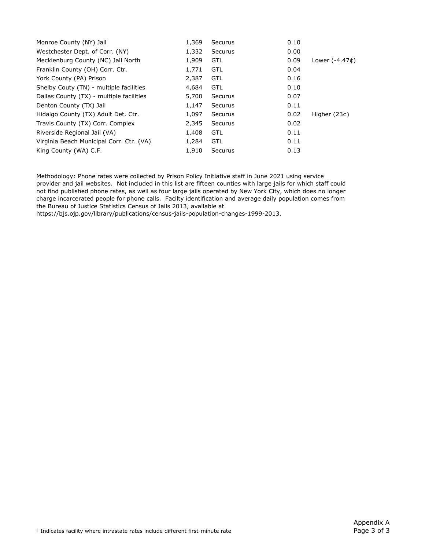| Monroe County (NY) Jail                  | 1,369 | <b>Securus</b> | 0.10 |                 |
|------------------------------------------|-------|----------------|------|-----------------|
| Westchester Dept. of Corr. (NY)          | 1,332 | Securus        | 0.00 |                 |
| Mecklenburg County (NC) Jail North       | 1,909 | <b>GTL</b>     | 0.09 | Lower $(-4.47)$ |
| Franklin County (OH) Corr. Ctr.          | 1,771 | <b>GTL</b>     | 0.04 |                 |
| York County (PA) Prison                  | 2,387 | <b>GTL</b>     | 0.16 |                 |
| Shelby Couty (TN) - multiple facilities  | 4,684 | <b>GTL</b>     | 0.10 |                 |
| Dallas County (TX) - multiple facilities | 5,700 | Securus        | 0.07 |                 |
| Denton County (TX) Jail                  | 1,147 | Securus        | 0.11 |                 |
| Hidalgo County (TX) Adult Det. Ctr.      | 1,097 | Securus        | 0.02 | Higher $(23¢)$  |
| Travis County (TX) Corr. Complex         | 2,345 | Securus        | 0.02 |                 |
| Riverside Regional Jail (VA)             | 1,408 | <b>GTL</b>     | 0.11 |                 |
| Virginia Beach Municipal Corr. Ctr. (VA) | 1,284 | <b>GTL</b>     | 0.11 |                 |
| King County (WA) C.F.                    | 1,910 | <b>Securus</b> | 0.13 |                 |

Methodology: Phone rates were collected by Prison Policy Initiative staff in June 2021 using service provider and jail websites. Not included in this list are fifteen counties with large jails for which staff could not find published phone rates, as well as four large jails operated by New York City, which does no longer charge incarcerated people for phone calls. Facilty identification and average daily population comes from the Bureau of Justice Statistics Census of Jails 2013, available at

https://bjs.ojp.gov/library/publications/census-jails-population-changes-1999-2013.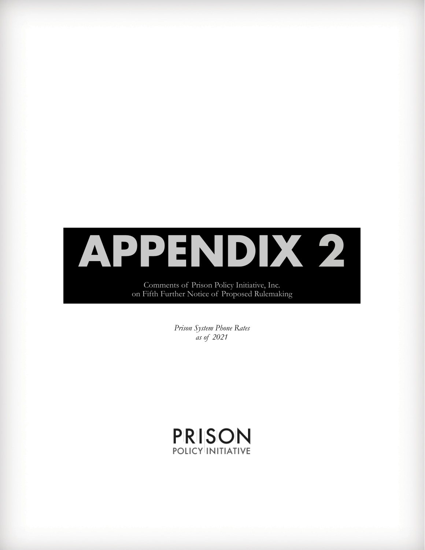

Comments of Prison Policy Initiative, Inc. on Fifth Further Notice of Proposed Rulemaking

> *Prison System Phone Rates as of 2021*

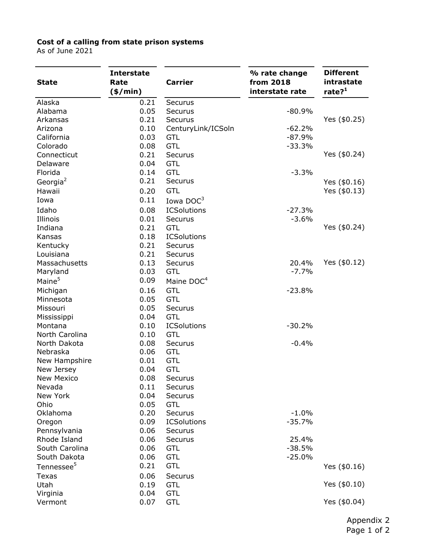#### **Cost of a calling from state prison systems**

As of June 2021

| <b>State</b>           | <b>Interstate</b><br>Rate<br>$(*/min)$ | <b>Carrier</b>         | % rate change<br>from 2018<br>interstate rate | <b>Different</b><br>intrastate<br>rate? <sup>1</sup> |
|------------------------|----------------------------------------|------------------------|-----------------------------------------------|------------------------------------------------------|
| Alaska                 | 0.21                                   | Securus                |                                               |                                                      |
| Alabama                | 0.05                                   | Securus                | $-80.9%$                                      |                                                      |
| Arkansas               | 0.21                                   | Securus                |                                               | Yes (\$0.25)                                         |
| Arizona                | 0.10                                   | CenturyLink/ICSoln     | $-62.2%$                                      |                                                      |
| California             | 0.03                                   | <b>GTL</b>             | $-87.9%$                                      |                                                      |
| Colorado               | 0.08                                   | <b>GTL</b>             | $-33.3%$                                      |                                                      |
| Connecticut            | 0.21                                   | Securus                |                                               | Yes $($0.24)$                                        |
| Delaware               | 0.04                                   | <b>GTL</b>             |                                               |                                                      |
| Florida                | 0.14                                   | <b>GTL</b>             | $-3.3%$                                       |                                                      |
| Georgia <sup>2</sup>   | 0.21                                   | Securus                |                                               | Yes $($0.16)$                                        |
| Hawaii                 | 0.20                                   | <b>GTL</b>             |                                               | Yes $($0.13)$                                        |
| Iowa                   | 0.11                                   | Iowa $DOC3$            |                                               |                                                      |
| Idaho                  | 0.08                                   | <b>ICSolutions</b>     | $-27.3%$                                      |                                                      |
| Illinois               | 0.01                                   | Securus                | $-3.6%$                                       |                                                      |
| Indiana                | 0.21                                   | <b>GTL</b>             |                                               | Yes $($0.24)$                                        |
| Kansas                 | 0.18                                   | <b>ICSolutions</b>     |                                               |                                                      |
| Kentucky               | 0.21                                   | Securus                |                                               |                                                      |
| Louisiana              | 0.21                                   | Securus                |                                               |                                                      |
| Massachusetts          | 0.13                                   | Securus                | 20.4%                                         | Yes $($0.12)$                                        |
| Maryland               | 0.03                                   | <b>GTL</b>             | $-7.7%$                                       |                                                      |
| Maine <sup>5</sup>     | 0.09                                   | Maine DOC <sup>4</sup> |                                               |                                                      |
| Michigan               | 0.16                                   | <b>GTL</b>             | $-23.8%$                                      |                                                      |
| Minnesota              | 0.05                                   | <b>GTL</b>             |                                               |                                                      |
| Missouri               | 0.05                                   | Securus                |                                               |                                                      |
| Mississippi            | 0.04                                   | <b>GTL</b>             |                                               |                                                      |
| Montana                | 0.10                                   | <b>ICSolutions</b>     | $-30.2%$                                      |                                                      |
| North Carolina         | 0.10                                   | <b>GTL</b>             |                                               |                                                      |
| North Dakota           | 0.08                                   | Securus                | $-0.4%$                                       |                                                      |
| Nebraska               | 0.06                                   | <b>GTL</b>             |                                               |                                                      |
| New Hampshire          | 0.01                                   | <b>GTL</b>             |                                               |                                                      |
| New Jersey             | 0.04                                   | <b>GTL</b>             |                                               |                                                      |
| <b>New Mexico</b>      | 0.08                                   | Securus                |                                               |                                                      |
| Nevada                 | 0.11                                   | Securus                |                                               |                                                      |
| New York               | 0.04                                   | Securus                |                                               |                                                      |
| Ohio                   | 0.05                                   | <b>GTL</b>             |                                               |                                                      |
| Oklahoma               | 0.20                                   | Securus                | $-1.0%$                                       |                                                      |
| Oregon                 | 0.09                                   | <b>ICSolutions</b>     | $-35.7%$                                      |                                                      |
| Pennsylvania           | 0.06                                   | Securus                |                                               |                                                      |
| Rhode Island           | 0.06                                   | Securus                | 25.4%                                         |                                                      |
| South Carolina         | 0.06                                   | <b>GTL</b>             | $-38.5%$                                      |                                                      |
| South Dakota           | 0.06                                   | <b>GTL</b>             | $-25.0%$                                      |                                                      |
| Tennessee <sup>5</sup> | 0.21                                   | <b>GTL</b>             |                                               | Yes $($0.16)$                                        |
| <b>Texas</b>           | 0.06                                   | Securus                |                                               |                                                      |
| Utah                   | 0.19                                   | <b>GTL</b>             |                                               | Yes $($0.10)$                                        |
| Virginia               | 0.04                                   | <b>GTL</b>             |                                               |                                                      |
| Vermont                | 0.07                                   | <b>GTL</b>             |                                               | Yes (\$0.04)                                         |

Appendix 2 Page 1 of 2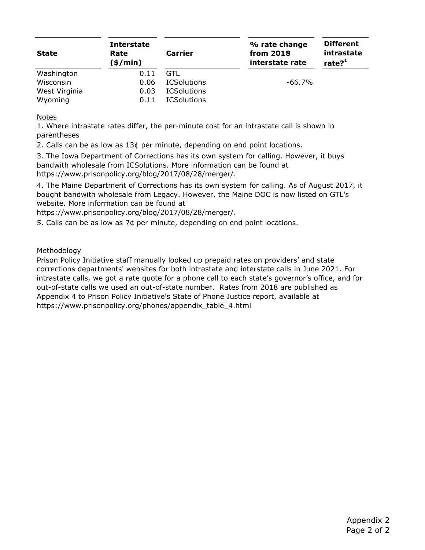| <b>State</b>  | <b>Interstate</b><br>Rate<br>(\$/min) | <b>Carrier</b>     | % rate change<br>from 2018<br>interstate rate | <b>Different</b><br>intrastate<br>rate? <sup>1</sup> |
|---------------|---------------------------------------|--------------------|-----------------------------------------------|------------------------------------------------------|
| Washington    | 0.11                                  | GTL                |                                               |                                                      |
| Wisconsin     | 0.06                                  | <b>ICSolutions</b> | $-66.7\%$                                     |                                                      |
| West Virginia | 0.03                                  | <b>ICSolutions</b> |                                               |                                                      |
| Wyoming       | 0.11                                  | <b>ICSolutions</b> |                                               |                                                      |

#### Notes

1. Where intrastate rates differ, the per-minute cost for an intrastate call is shown in parentheses

2. Calls can be as low as 13¢ per minute, depending on end point locations.

3. The Iowa Department of Corrections has its own system for calling. However, it buys bandwith wholesale from ICSolutions. More information can be found at https://www.prisonpolicy.org/blog/2017/08/28/merger/.

4. The Maine Department of Corrections has its own system for calling. As of August 2017, it bought bandwith wholesale from Legacy. However, the Maine DOC is now listed on GTL's website. More information can be found at

https://www.prisonpolicy.org/blog/2017/08/28/merger/.

5. Calls can be as low as 7¢ per minute, depending on end point locations.

#### Methodology

Prison Policy Initiative staff manually looked up prepaid rates on providers' and state corrections departments' websites for both intrastate and interstate calls in June 2021. For intrastate calls, we got a rate quote for a phone call to each state's governor's office, and for out-of-state calls we used an out-of-state number. Rates from 2018 are published as Appendix 4 to Prison Policy Initiative's State of Phone Justice report, available at https://www.prisonpolicy.org/phones/appendix\_table\_4.html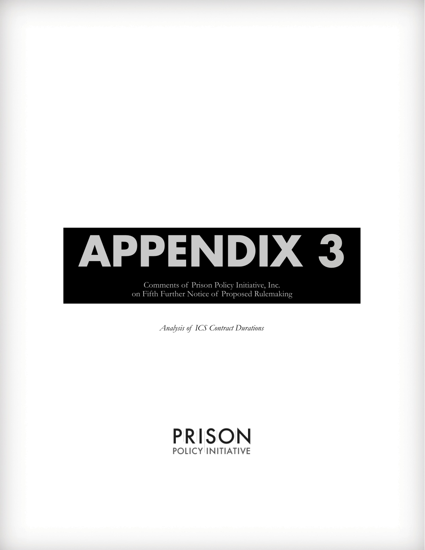

on Fifth Further Notice of Proposed Rulemaking

*Analysis of ICS Contract Durations*

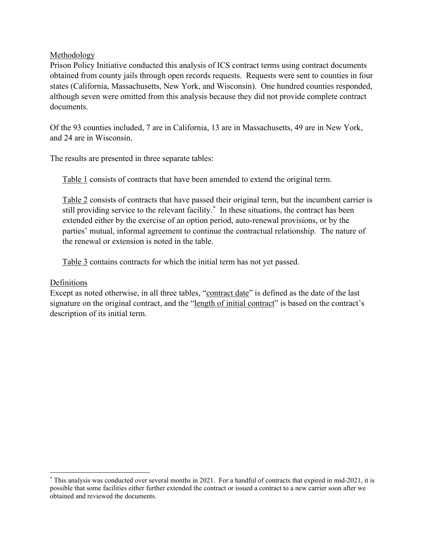### **Methodology**

Prison Policy Initiative conducted this analysis of ICS contract terms using contract documents obtained from county jails through open records requests. Requests were sent to counties in four states (California, Massachusetts, New York, and Wisconsin). One hundred counties responded, although seven were omitted from this analysis because they did not provide complete contract documents.

Of the 93 counties included, 7 are in California, 13 are in Massachusetts, 49 are in New York, and 24 are in Wisconsin.

The results are presented in three separate tables:

Table 1 consists of contracts that have been amended to extend the original term.

Table 2 consists of contracts that have passed their original term, but the incumbent carrier is still providing service to the relevant facility. [\\*](#page-37-0) In these situations, the contract has been extended either by the exercise of an option period, auto-renewal provisions, or by the parties' mutual, informal agreement to continue the contractual relationship. The nature of the renewal or extension is noted in the table.

Table 3 contains contracts for which the initial term has not yet passed.

# Definitions

Except as noted otherwise, in all three tables, "contract date" is defined as the date of the last signature on the original contract, and the "length of initial contract" is based on the contract's description of its initial term.

<span id="page-37-0"></span><sup>\*</sup> This analysis was conducted over several months in 2021. For a handful of contracts that expired in mid-2021, it is possible that some facilities either further extended the contract or issued a contract to a new carrier soon after we obtained and reviewed the documents.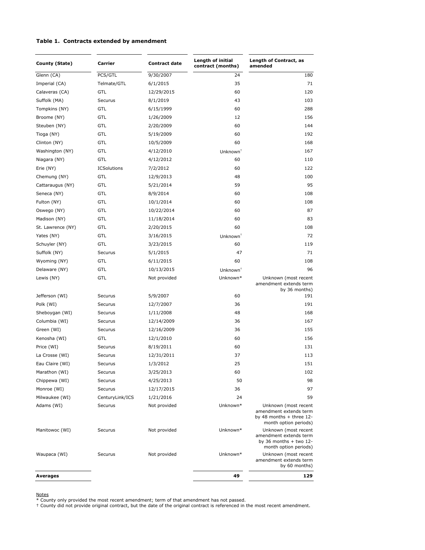#### **Table 1. Contracts extended by amendment**

| County (State)    | Carrier            | <b>Contract date</b> | Length of initial<br>contract (months) | Length of Contract, as<br>amended                                                                     |
|-------------------|--------------------|----------------------|----------------------------------------|-------------------------------------------------------------------------------------------------------|
| Glenn (CA)        | PCS/GTL            | 9/30/2007            | 24                                     | 180                                                                                                   |
| Imperial (CA)     | Telmate/GTL        | 6/1/2015             | 35                                     | 71                                                                                                    |
| Calaveras (CA)    | <b>GTL</b>         | 12/29/2015           | 60                                     | 120                                                                                                   |
| Suffolk (MA)      | Securus            | 8/1/2019             | 43                                     | 103                                                                                                   |
| Tompkins (NY)     | GTL                | 6/15/1999            | 60                                     | 288                                                                                                   |
| Broome (NY)       | <b>GTL</b>         | 1/26/2009            | 12                                     | 156                                                                                                   |
| Steuben (NY)      | GTL                | 2/20/2009            | 60                                     | 144                                                                                                   |
| Tioga (NY)        | GTL                | 5/19/2009            | 60                                     | 192                                                                                                   |
| Clinton (NY)      | GTL                | 10/5/2009            | 60                                     | 168                                                                                                   |
| Washington (NY)   | GTL                | 4/12/2010            | Unknown <sup>+</sup>                   | 167                                                                                                   |
| Niagara (NY)      | <b>GTL</b>         | 4/12/2012            | 60                                     | 110                                                                                                   |
| Erie (NY)         | <b>ICSolutions</b> | 7/2/2012             | 60                                     | 122                                                                                                   |
| Chemung (NY)      | <b>GTL</b>         | 12/9/2013            | 48                                     | 100                                                                                                   |
| Cattaraugus (NY)  | <b>GTL</b>         | 5/21/2014            | 59                                     | 95                                                                                                    |
| Seneca (NY)       | GTL                | 8/9/2014             | 60                                     | 108                                                                                                   |
| Fulton (NY)       | GTL                | 10/1/2014            | 60                                     | 108                                                                                                   |
| Oswego (NY)       | GTL                | 10/22/2014           | 60                                     | 87                                                                                                    |
| Madison (NY)      | GTL                | 11/18/2014           | 60                                     | 83                                                                                                    |
| St. Lawrence (NY) | GTL                | 2/20/2015            | 60                                     | 108                                                                                                   |
| Yates (NY)        | GTL                | 3/16/2015            | Unknown <sup>+</sup>                   | 72                                                                                                    |
| Schuyler (NY)     | <b>GTL</b>         | 3/23/2015            | 60                                     | 119                                                                                                   |
| Suffolk (NY)      | Securus            | 5/1/2015             | 47                                     | 71                                                                                                    |
| Wyoming (NY)      | GTL                | 6/11/2015            | 60                                     | 108                                                                                                   |
| Delaware (NY)     | GTL                | 10/13/2015           | $Unknown^T$                            | 96                                                                                                    |
| Lewis (NY)        | GTL                | Not provided         | Unknown*                               | Unknown (most recent                                                                                  |
|                   |                    |                      |                                        | amendment extends term<br>by 36 months)                                                               |
| Jefferson (WI)    | Securus            | 5/9/2007             | 60                                     | 191                                                                                                   |
| Polk (WI)         | Securus            | 12/7/2007            | 36                                     | 191                                                                                                   |
| Sheboygan (WI)    | Securus            | 1/11/2008            | 48                                     | 168                                                                                                   |
| Columbia (WI)     | Securus            | 12/14/2009           | 36                                     | 167                                                                                                   |
| Green (WI)        | Securus            | 12/16/2009           | 36                                     | 155                                                                                                   |
| Kenosha (WI)      | GTL                | 12/1/2010            | 60                                     | 156                                                                                                   |
| Price (WI)        | Securus            | 8/19/2011            | 60                                     | 131                                                                                                   |
| La Crosse (WI)    | Securus            | 12/31/2011           | 37                                     | 113                                                                                                   |
| Eau Claire (WI)   | Securus            | 1/3/2012             | 25                                     | 151                                                                                                   |
| Marathon (WI)     | Securus            | 3/25/2013            | 60                                     | 102                                                                                                   |
| Chippewa (WI)     | Securus            | 4/25/2013            | 50                                     | 98                                                                                                    |
| Monroe (WI)       | Securus            | 12/17/2015           | 36                                     | 97                                                                                                    |
| Milwaukee (WI)    | CenturyLink/ICS    | 1/21/2016            | 24                                     | 59                                                                                                    |
| Adams (WI)        | Securus            | Not provided         | Unknown*                               | Unknown (most recent<br>amendment extends term<br>by 48 months $+$ three 12-<br>month option periods) |
| Manitowoc (WI)    | Securus            | Not provided         | Unknown*                               | Unknown (most recent<br>amendment extends term<br>by 36 months $+$ two 12-<br>month option periods)   |
| Waupaca (WI)      | Securus            | Not provided         | Unknown*                               | Unknown (most recent<br>amendment extends term<br>by 60 months)                                       |
| <b>Averages</b>   |                    |                      | 49                                     | 129                                                                                                   |

Notes \* County only provided the most recent amendment; term of that amendment has not passed. † County did not provide original contract, but the date of the original contract is referenced in the most recent amendment.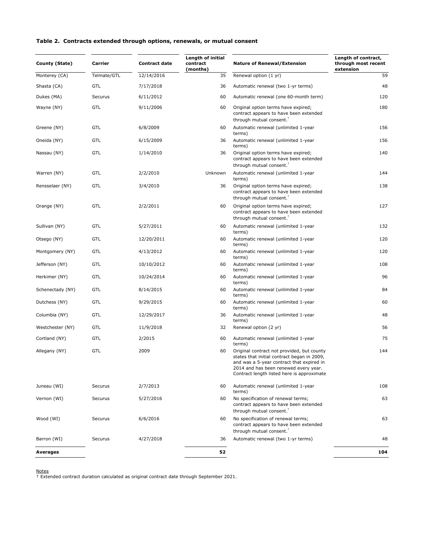#### **Table 2. Contracts extended through options, renewals, or mutual consent**

| County (State)   | Carrier     | <b>Contract date</b> | Length of initial<br>contract<br>(months)                                                                      | <b>Nature of Renewal/Extension</b>                                                                                                                                                                                            | Length of contract,<br>through most recent<br>extension |
|------------------|-------------|----------------------|----------------------------------------------------------------------------------------------------------------|-------------------------------------------------------------------------------------------------------------------------------------------------------------------------------------------------------------------------------|---------------------------------------------------------|
| Monterey (CA)    | Telmate/GTL | 12/14/2016           | 35                                                                                                             | Renewal option (1 yr)                                                                                                                                                                                                         | 59                                                      |
| Shasta (CA)      | <b>GTL</b>  | 7/17/2018            | 36                                                                                                             | Automatic renewal (two 1-yr terms)                                                                                                                                                                                            | 48                                                      |
| Dukes (MA)       | Securus     | 6/11/2012            | 60<br>Automatic renewal (one 60-month term)                                                                    |                                                                                                                                                                                                                               | 120                                                     |
| Wayne (NY)       | <b>GTL</b>  | 9/11/2006            | 60                                                                                                             | Original option terms have expired;<br>contract appears to have been extended<br>through mutual consent. <sup>T</sup>                                                                                                         | 180                                                     |
| Greene (NY)      | GTL         | 6/8/2009             | 60                                                                                                             | Automatic renewal (unlimited 1-year<br>terms)                                                                                                                                                                                 | 156                                                     |
| Oneida (NY)      | GTL         | 6/15/2009            | 36                                                                                                             | Automatic renewal (unlimited 1-year<br>terms)                                                                                                                                                                                 | 156                                                     |
| Nassau (NY)      | GTL         | 1/14/2010            | 36<br>Original option terms have expired;<br>contract appears to have been extended<br>through mutual consent. |                                                                                                                                                                                                                               | 140                                                     |
| Warren (NY)      | <b>GTL</b>  | 2/2/2010             | Unknown                                                                                                        | Automatic renewal (unlimited 1-year<br>terms)                                                                                                                                                                                 | 144                                                     |
| Rensselaer (NY)  | <b>GTL</b>  | 3/4/2010             | 36                                                                                                             | Original option terms have expired;<br>contract appears to have been extended<br>through mutual consent. <sup>T</sup>                                                                                                         | 138                                                     |
| Orange (NY)      | <b>GTL</b>  | 2/2/2011             | 60                                                                                                             | Original option terms have expired;<br>contract appears to have been extended<br>through mutual consent.                                                                                                                      | 127                                                     |
| Sullivan (NY)    | <b>GTL</b>  | 5/27/2011            | 60                                                                                                             | Automatic renewal (unlimited 1-year<br>terms)                                                                                                                                                                                 | 132                                                     |
| Otsego (NY)      | <b>GTL</b>  | 12/20/2011           | 60                                                                                                             | Automatic renewal (unlimited 1-year<br>terms)                                                                                                                                                                                 | 120                                                     |
| Montgomery (NY)  | <b>GTL</b>  | 4/13/2012            | 60                                                                                                             | Automatic renewal (unlimited 1-year<br>terms)                                                                                                                                                                                 | 120                                                     |
| Jefferson (NY)   | GTL         | 10/10/2012           | 60                                                                                                             | Automatic renewal (unlimited 1-year<br>terms)                                                                                                                                                                                 | 108                                                     |
| Herkimer (NY)    | <b>GTL</b>  | 10/24/2014           | 60                                                                                                             | Automatic renewal (unlimited 1-year<br>terms)                                                                                                                                                                                 | 96                                                      |
| Schenectady (NY) | GTL         | 8/14/2015            | 60                                                                                                             | Automatic renewal (unlimited 1-year<br>terms)                                                                                                                                                                                 | 84                                                      |
| Dutchess (NY)    | <b>GTL</b>  | 9/29/2015            | 60                                                                                                             | Automatic renewal (unlimited 1-year<br>terms)                                                                                                                                                                                 | 60                                                      |
| Columbia (NY)    | GTL         | 12/29/2017           | 36                                                                                                             | Automatic renewal (unlimited 1-year<br>terms)                                                                                                                                                                                 | 48                                                      |
| Westchester (NY) | GTL         | 11/9/2018            | 32                                                                                                             | Renewal option (2 yr)                                                                                                                                                                                                         | 56                                                      |
| Cortland (NY)    | GTL         | 2/2015               | 60                                                                                                             | Automatic renewal (unlimited 1-year<br>terms)                                                                                                                                                                                 | 75                                                      |
| Allegany (NY)    | <b>GTL</b>  | 2009                 | 60                                                                                                             | Original contract not provided, but county<br>states that initial contract began in 2009,<br>and was a 5-year contract that expired in<br>2014 and has been renewed every year.<br>Contract length listed here is approximate | 144                                                     |
| Juneau (WI)      | Securus     | 2/7/2013             | 60                                                                                                             | Automatic renewal (unlimited 1-year<br>terms)                                                                                                                                                                                 | 108                                                     |
| Vernon (WI)      | Securus     | 5/27/2016            | 60                                                                                                             | No specification of renewal terms;<br>contract appears to have been extended<br>through mutual consent. <sup>†</sup>                                                                                                          | 63                                                      |
| Wood (WI)        | Securus     | 6/6/2016             | 60                                                                                                             | No specification of renewal terms;<br>contract appears to have been extended<br>through mutual consent. <sup>T</sup>                                                                                                          | 63                                                      |
| Barron (WI)      | Securus     | 4/27/2018            | 36                                                                                                             | Automatic renewal (two 1-yr terms)                                                                                                                                                                                            | 48                                                      |
| Averages         |             |                      | 52                                                                                                             |                                                                                                                                                                                                                               | 104                                                     |

Notes † Extended contract duration calculated as original contract date through September 2021.